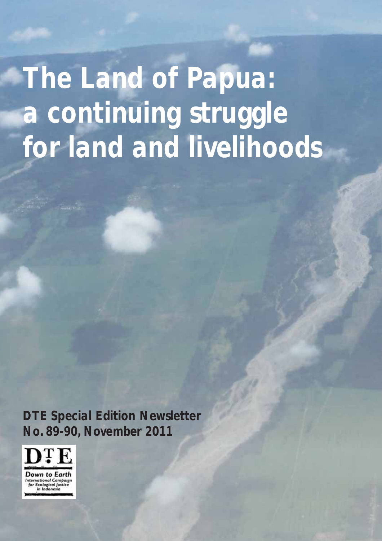*The Land of Papua: a continuing struggle for land and livelihoods*

*DTE Special Edition Newsletter No. 89-90, November 2011*

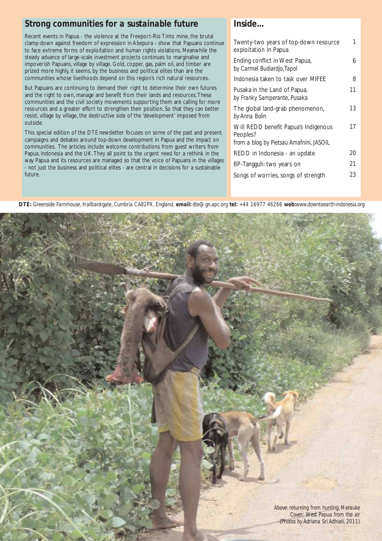## *Strong communities for a sustainable future*

Recent events in Papua - the violence at the Freeport-Rio Tinto mine, the brutal clamp-down against freedom of expression in Abepura - show that Papuans continue to face extreme forms of exploitation and human rights violations. Meanwhile the steady advance of large-scale investment projects continues to marginalise and impoverish Papuans, village by village. Gold, copper, gas, palm oil, and timber are prized more highly, it seems, by the business and political elites than are the communities whose livelihoods depend on this region's rich natural resources.

But Papuans are continuing to demand their right to determine their own futures and the right to own, manage and benefit from their lands and resources.These communities and the civil society movements supporting them are calling for more resources and a greater effort to strengthen their position. So that they can better resist, village by village, the destructive side of the 'development' imposed from outside.

This special edition of the DTE newsletter focuses on some of the past and present campaigns and debates around top-down development in Papua and the impact on communities. The articles include welcome contributions from guest writers from Papua, Indonesia and the UK.They all point to the urgent need for a rethink in the way Papua and its resources are managed so that the voice of Papuans in the villages - not just the business and political elites - are central in decisions for a sustainable future.

## *Inside...*

| Twenty-two years of top-down resource<br>exploitation in Papua | 1  |
|----------------------------------------------------------------|----|
| Ending conflict in West Papua,<br>by Carmel Budiardjo, Tapol   | 6  |
| Indonesia taken to task over MIFEE                             | 8  |
| Pusaka in the Land of Papua,<br>by Franky Samperante, Pusaka   | 11 |
| The global land-grab phenomenon,<br>by Anna Bolin              | 13 |
| Will REDD benefit Papua's Indigenous<br>Peoples?               | 17 |
| from a blog by Pietsau Amafnini, JASOIL                        |    |
| REDD in Indonesia - an update                                  | 20 |
| BP-Tangguh: two years on                                       | 21 |
| Songs of worries, songs of strength                            | 23 |

*DTE: Greenside Farmhouse, Hallbankgate, Cumbria CA82PX, England, email: dte@gn.apc.org tel: +44 16977 46266 web:www.downtoearth-indonesia.org*

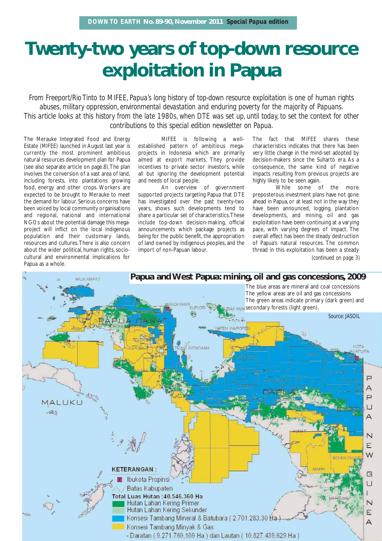## **Twenty-two years of top-down resource exploitation in Papua**

*From Freeport/Rio Tinto to MIFEE, Papua's long history of top-down resource exploitation is one of human rights abuses, military oppression, environmental devastation and enduring poverty for the majority of Papuans. This article looks at this history from the late 1980s, when DTE was set up, until today, to set the context for other contributions to this special edition newsletter on Papua.*

The Merauke Integrated Food and Energy Estate (MIFEE) launched in August last year is currently the most prominent ambitious natural resources development plan for Papua (see also separate article on page.8).The plan involves the conversion of a vast area of land, including forests, into plantations growing food, energy and other crops. Workers are expected to be brought to Merauke to meet the demand for labour. Serious concerns have been voiced by local community organisations and regional, national and international NGOs about the potential damage this megaproject will inflict on the local indigenous population and their customary lands, resources and cultures.There is also concern about the wider political, human rights, sociocultural and environmental implications for Papua as a whole.

MIFEE is following a wellestablished pattern of ambitious megaprojects in Indonesia which are primarily aimed at export markets. They provide incentives to private sector investors, while all but ignoring the development potential and needs of local people.

An overview of government supported projects targeting Papua that DTE has investigated over the past twenty-two years, shows such developments tend to share a particular set of characteristics.These include top-down decision-making, official announcements which package projects as being for the public benefit, the appropriation of land owned by indigenous peoples, and the import of non-Papuan labour.

The fact that MIFEE shares these characteristics indicates that there has been very little change in the mind-set adopted by decision-makers since the Suharto era. As a consequence, the same kind of negative impacts resulting from previous projects are highly likely to be seen again.

While some of the more preposterous investment plans have not gone ahead in Papua, or at least not in the way they have been announced, logging, plantation developments, and mining, oil and gas exploitation have been continuing at a varying pace, with varying degrees of impact. The overall effect has been the steady destruction of Papua's natural resources. The common thread in this exploitation has been a steady *(continued on page 3)*

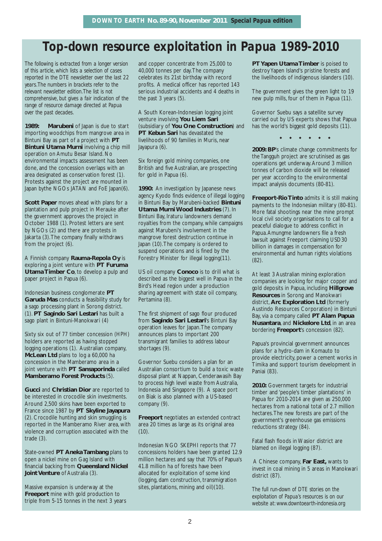## *Top-down resource exploitation in Papua 1989-2010*

*The following is extracted from a longer version of this article, which lists a selection of cases reported in the DTE newsletter over the last 22 years.The numbers in brackets refer to the relevant newsletter edition.The list is not comprehensive, but gives a fair indication of the range of resource damage directed at Papua over the past decades.*

**1989:** Marubeni of Japan is due to start importing woodchips from mangrove area in Bintuni Bay as part of a project with **PT Bintuni Utama Murni** involving a chip mill operation on Amutu Besar Island. No environmental impacts assessment has been done, and the concession overlaps with an area designated as conservation forest (1). Protests against the project are mounted in Japan bythe NGOs JATAN and FoE Japan(6).

**Scott Paper** moves ahead with plans for a plantation and pulp project in Merauke after the government approves the project in October 1988 (1). Protest letters are sent by NGOs (2) and there are protests in Jakarta (3).The company finally withdraws from the project (6).

A Finnish company **Rauma-Repola Oy** is exploring a joint venture with **PT Furuma Utama Timber Co**, to develop a pulp and paper project in Papua (6).

Indonesian business conglomerate **PT Garuda Mas** conducts a feasibility study for a sago processing plant in Sorong district. (1). **PT Sagindo Sari Lestari** has built a sago plant in Bintuni-Manokwari (4)

Sixty six out of 77 timber concession (HPH) holders are reported as having stopped logging operations (1). Australian company, **McLean Ltd** plans to log a 60,000 ha concession in the Mamberamo area in a joint venture with **PT Sansaporinda** called **Mamberamo Forest Products** (5).

**Gucci** and **Christian Dior** are reported to be interested in crocodile skin investments. Around 2,500 skins have been exported to France since 1987 by **PT Skyline Jayapura** (2). Crocodile hunting and skin smuggling is reported in the Mamberamo River area, with violence and corruption associated with the trade (3).

State-owned **PT Aneka Tambang** plans to open a nickel mine on Gag Island with financial backing from **Queensland Nickel Joint Venture** of Australia (3).

Massive expansion is underway at the **Freeport** mine with gold production to triple from 5-15 tonnes in the next 3 years and copper concentrate from 25,000 to 40,000 tonnes per day.The company celebrates its 21st birthday with record profits. A medical officer has reported 143 serious industrial accidents and 4 deaths in the past 3 years (5).

A South Korean-Indonesian logging joint venture involving **You Liem Sari** (subsidiary of **You One Construction**) and **PT Kebun Sari has devastated the** livelihoods of 90 families in Muris, near Jayapura (6).

Six foreign gold mining companies, one British and five Australian, are prospecting for gold in Papua (6).

**1990:** An investigation by Japanese news agency Kyodo finds evidence of illegal logging in Bintuni Bay by Marubeni-backed **Bintuni Utama Murni Wood Industries** (7). In Bintuni Bay, Iraturu landowners demand royalties from the company, while campaigns against Marubeni's involvement in the mangrove forest destruction continue in Japan (10).The company is ordered to suspend operations and is fined by the Forestry Minister for illegal logging(11).

US oil company **Conoco** is to drill what is described as the biggest well in Papua in the Bird's Head region under a production sharing agreement with state oil company, Pertamina (8).

The first shipment of sago flour produced from **Sagindo Sari Lestari**'s Bintuni Bay operation leaves for Japan.The company announces plans to important 200 transmigrant families to address labour shortages (9).

Governor Suebu considers a plan for an Australian consortium to build a toxic waste disposal plant at Nappan, Cenderawasih Bay to process high level waste from Australia, Indonesia and Singapore (9). A space port on Biak is also planned with a US-based company (9).

**Freeport** negotiates an extended contract area 20 times as large as its original area  $(10).$ 

Indonesian NGO SKEPHI reports that 77 concessions holders have been granted 12.9 million hectares and say that 70% of Papua's 41.8 million ha of forests have been allocated for exploitation of some kind (logging, dam construction, transmigration sites, plantations, mining and oil)(10).

**PT Yapen Utama Timber** is poised to destroy Yapen Island's pristine forests and the livelihoods of indigenous islanders (10).

The government gives the green light to 19 new pulp mills, four of them in Papua (11).

Governor Suebu says a satellite survey carried out by US experts shows that Papua has the world's biggest gold deposits (11).

 $\begin{array}{cccccccccccccc} \bullet & \bullet & \bullet & \bullet & \bullet & \bullet & \bullet & \bullet & \bullet \end{array}$ 

**2009: BP**'s climate change commitments for the Tangguh project are scrutinised as gas operations get underway.Around 3 million tonnes of carbon dioxide will be released per year according to the environmental impact analysis documents (80-81).

**Freeport-Rio Tinto** admits it is still making payments to the Indonesian military (80-81). More fatal shootings near the mine prompt local civil society organisations to call for a peaceful dialogue to address conflict in Papua.Amungme landowners file a fresh lawsuit against Freeport claiming USD30 billion in damages in compensation for environmental and human rights violations (82).

At least 3 Australian mining exploration companies are looking for major copper and gold deposits in Papua, including **Hillgrove Resources** in Sorong and Manokwari district, **Arc Exploration Ltd** (formerly Austindo Resources Corporation) in Bintuni Bay, via a company called **PT Alam Papua Nusantara**, and **Nickelore Ltd**, in an area bordering **Freeport**'s concession (82).

Papua's provincial government announces plans for a hydro-dam in Komauto to provide electricity, power a cement works in Timika and support tourism development in Paniai (83).

**2010:** Government targets for industrial timber and 'people's timber plantations' in Papua for 2010-2014 are given as 250,000 hectares from a national total of 2.7 million hectares.The new forests are part of the government's greenhouse gas emissions reductions strategy (84).

Fatal flash floods in Wasior district are blamed on illegal logging (87).

A Chinese company, **Far East,** wants to invest in coal mining in 5 areas in Manokwari district (87).

*The full run-down of DTE stories on the exploitation of Papua's resources is on our website at: www.downtoearth-indonesia.org*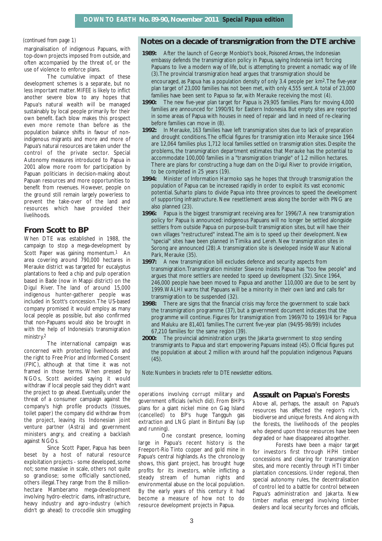#### *(continued from page 1)*

marginalisation of indigenous Papuans, with top-down projects imposed from outside, and often accompanied by the threat of, or the use of violence to enforce plans.

The cumulative impact of these development schemes is a separate, but no less important matter. MIFEE is likely to inflict another severe blow to any hopes that Papua's natural wealth will be managed sustainably by local people primarily for their own benefit. Each blow makes this prospect even more remote than before as the population balance shifts in favour of nonindigenous migrants and more and more of Papua's natural resources are taken under the control of the private sector. Special Autonomy measures introduced to Papua in 2001 allow more room for participation by Papuan politicians in decision-making about Papuan resources and more opportunities to benefit from revenues. However, people on the ground still remain largely powerless to prevent the take-over of the land and resources which have provided their livelihoods.

## **From Scott to BP**

When DTE was established in 1988, the campaign to stop a mega-development by Scott Paper was gaining momentum.<sup>1</sup> An area covering around 790,000 hectares in Merauke district was targeted for eucalyptus plantations to feed a chip and pulp operation based in Bade (now in Mappi district) on the Digul River. The land of around 15,000 indigenous hunter-gatherer people was included in Scott's concession.The US-based company promised it would employ as many local people as possible, but also confirmed that non-Papuans would also be brought in with the help of Indonesia's transmigration ministry.2

The international campaign was concerned with protecting livelihoods and the right to Free Prior and Informed Consent (FPIC), although at that time it was not framed in those terms. When pressed by NGOs, Scott avoided saying it would withdraw if local people said they didn't want the project to go ahead. Eventually, under the threat of a consumer campaign against the company's high profile products (tissues, toilet paper) the company did withdraw from the project, leaving its Indonesian joint venture partner (Astra) and government ministers angry, and creating a backlash against NGOs.

Since Scott Paper, Papua has been beset by a host of natural resource exploitation projects - some developed, some not; some massive in scale, others not quite so grandiose; some officially sanctioned, others illegal.They range from the 8 millionhectare Mamberamo mega-development involving hydro-electric dams, infrastructure, heavy industry and agro-industry (which didn't go ahead) to crocodile skin smuggling

### **Notes on a decade of transmigration from the DTE archive**

- **1989:** After the launch of George Monbiot's book, *Poisoned Arrows*, the Indonesian embassy defends the transmigration policy in Papua, saying Indonesia isn't forcing Papuans to live a modern way of life, but is attempting to prevent a nomadic way of life (3).The provincial transmigration head argues that transmigration should be encouraged, as Papua has a population density of only 3.4 people per km2.The five-year plan target of 23,000 families has not been met, with only 4,555 sent.A total of 23,000 families have been sent to Papua so far, with Merauke receiving the most (4).
- **1990:** The new five-year plan target for Papua is 29,905 families. Plans for moving 4,000 families are announced for 1990/91 for Eastern Indonesia. But empty sites are reported in some areas of Papua with houses in need of repair and land in need of re-clearing before families can move in (8).
- **1992:** In Merauke, 163 families have left transmigration sites due to lack of preparation and drought conditions.The official figures for transmigration into Merauke since 1964 are 12,064 families plus 1,712 local families settled on transmigration sites. Despite the problems, the transmigration department estimates that Merauke has the potential to accommodate 100,000 families in a "transmigration triangle" of 1.2 million hectares. There are plans for constructing a huge dam on the Digul River to provide irrigation, to be completed in 25 years (19).
- **1994:** Minister of Information Harmoko says he hopes that through transmigration the population of Papua can be increased rapidly in order to exploit its vast economic potential. Suharto plans to divide Papua into three provinces to speed the development of supporting infrastructure. New resettlement areas along the border with PNG are also planned (23).
- **1996:** Papua is the biggest transmigrant receiving area for 1996/7.A new transmigration policy for Papua is announced: indigenous Papuans will no longer be settled alongside settlers from outside Papua on purpose-built transmigration sites, but will have their own villages "restructured" instead.The aim is to speed up their development. New "special" sites have been planned in Timika and Lereh. New transmigration sites in Sorong are announced (28).A transmigration site is developed inside Wasur National Park, Merauke (35).
- **1997:** A new transmigration bill excludes defence and security aspects from transmigration.Transmigration minister Siswono insists Papua has "too few people" and argues that more settlers are needed to speed up development (32). Since 1964, 246,000 people have been moved to Papua and another 110,000 are due to be sent by 1999.WALHI warns that Papuans will be a minority in their own land and calls for transmigration to be suspended (32).
- **1998:** There are signs that the financial crisis may force the government to scale back the transmigration programme (37), but a government document indicates that the programme will continue. Figures for transmigration from 1969/70 to 1993/4 for Papua and Maluku are 81,401 families.The current five-year plan (94/95-98/99) includes 67,210 families for the same region (39).
- **2000:** The provincial administration urges the Jakarta government to stop sending transmigrants to Papua and start empowering Papuans instead (45). Official figures put the population at about 2 million with around half the population indigenous Papuans (45).

*Note: Numbers in brackets refer to DTE newsletter editions.*

operations involving corrupt military and government officials (which did). From BHP's plans for a giant nickel mine on Gag Island (cancelled) to BP's huge Tangguh gas extraction and LNG plant in Bintuni Bay (up and running).

One constant presence, looming large in Papua's recent history is the Freeport-Rio Tinto copper and gold mine in Papua's central highlands. As the chronology shows, this giant project, has brought huge profits for its investors, while inflicting a steady stream of human rights and environmental abuse on the local population. By the early years of this century it had become a measure of how not to do resource development projects in Papua.

#### **Assault on Papua's Forests**

Above all, perhaps, the assault on Papua's resources has affected the region's rich, biodiverse and unique forests. And along with the forests, the livelihoods of the peoples who depend upon those resources have been degraded or have disappeared altogether.

Forests have been a major target for investors first through HPH timber concessions and clearing for transmigration sites, and more recently through HTI timber plantation concessions. Under regional, then special autonomy rules, the decentralisation of control led to a battle for control between Papua's administration and Jakarta. New timber mafias emerged involving timber dealers and local security forces and officials,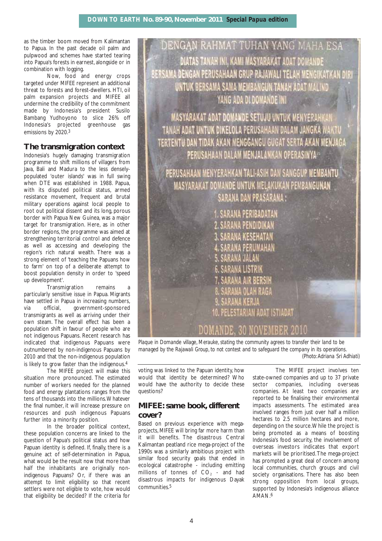as the timber boom moved from Kalimantan to Papua. In the past decade oil palm and pulpwood and schemes have started tearing into Papua's forests in earnest, alongside or in combination with logging.

Now, food and energy crops targeted under MIFEE represent an additional threat to forests and forest-dwellers. HTI, oil palm expansion projects and MIFEE all undermine the credibility of the commitment made by Indonesia's president Susilo Bambang Yudhoyono to slice 26% off Indonesia's projected greenhouse gas emissions by 2020.3

## **The transmigration context**

Indonesia's hugely damaging transmigration programme to shift millions of villagers from Java, Bali and Madura to the less denselypopulated 'outer islands' was in full swing when DTE was established in 1988. Papua, with its disputed political status, armed resistance movement, frequent and brutal military operations against local people to root out political dissent and its long, porous border with Papua New Guinea, was a major target for transmigration. Here, as in other border regions, the programme was aimed at strengthening territorial control and defence as well as accessing and developing the region's rich natural wealth. There was a strong element of 'teaching the Papuans how to farm' on top of a deliberate attempt to boost population density in order to 'speed up development'.

.<br>Transmigration remains particularly sensitive issue in Papua. Migrants have settled in Papua in increasing numbers, via official, government-sponsored transmigrants as well as arriving under their own steam. The overall effect has been a population shift in favour of people who are not indigenous Papuans. Recent research has indicated that indigenous Papuans were outnumbered by non-indigenous Papuans by 2010 and that the non-indigenous population is likely to grow faster than the indigenous.4

The MIFEE project will make this situation more pronounced. The estimated number of workers needed for the planned food and energy plantations ranges from the tens of thousands into the millions.Whatever the final number, it will increase pressure on resources and push indigenous Papuans further into a minority position.

In the broader political context, these population concerns are linked to the question of Papua's political status and how Papuan identity is defined. If, finally, there is a genuine act of self-determination in Papua, what would be the result now that more than half the inhabitants are originally nonindigenous Papuans? Or, if there was an attempt to limit eligibility so that recent settlers were not eligible to vote, how would that eligibility be decided? If the criteria for

DENGAN RAHMAT TUHAN YANG MAHA ESA DIATAS TANAH INI, KAMI MASYARAKAT ADAT DOMANDE BERSAMA DENGAN PERUSAHAAN GRUP RAJAWALI TELAH MENGIKATKAN DIRI UNTUK BERSAMA SAMA MEMBANGUN TANAH ADAT MALIND YANG ADA DI DOMANDE INI **MASYARAKAT ADAT DOMANDE SETUJU UNTUK MENYERAHKAN** TANAH ADAT UNTUK DIKELOLA PERUSAHAAN DALAM JANGKA WAKTU TERTENTU DAN TIDAK AKAN MENGGANGU GUGAT SERTA AKAN MENJAGA PERUSAHAAN DALAM MENJALANKAN OPERASINYA-PERUSAHAAN MENYERAHKAN TALI-ASIH DAN SANGGUP MEMBANTU MASYARAKAT DOMANDE UNTUK MELAKUKAN PEMBANGUNAN SARANA DAN PRASARANA : 1. SARANA PERIBADATAN 2. SARANA PENDIDIKAN 3. SARANA KESEHATAN SARANA PERUMAHAN OLAH RAGA ESTARIAN ADAT ISTIADAT

*Plaque in Domande village, Merauke, stating the community agrees to transfer their land to be managed by the Rajawali Group, to not contest and to safeguard the company in its operations. (Photo:Adriana Sri Adhiati)*

DOMANDE, 30 NOVEMBER 2010

voting was linked to the Papuan identity, how would that identity be determined? Who would have the authority to decide these questions?

## **MIFEE: same book, different cover?**

Based on previous experience with megaprojects, MIFEE will bring far more harm than it will benefits. The disastrous Central Kalimantan peatland rice mega-project of the 1990s was a similarly ambitious project with similar food security goals that ended in ecological catastrophe - including emitting millions of tonnes of  $CO<sub>2</sub>$  - and had disastrous impacts for indigenous Dayak communities.5

The MIFEE project involves ten state-owned companies and up to 37 private sector companies, including overseas companies. At least two companies are reported to be finalising their environmental impacts assessments. The estimated area involved ranges from just over half a million hectares to 2.5 million hectares and more, depending on the source.While the project is being promoted as a means of boosting Indonesia's food security, the involvement of overseas investors indicates that export markets will be prioritised.The mega-project has prompted a great deal of concern among local communities, church groups and civil society organisations. There has also been strong opposition from local groups, supported by Indonesia's indigenous alliance AMAN.6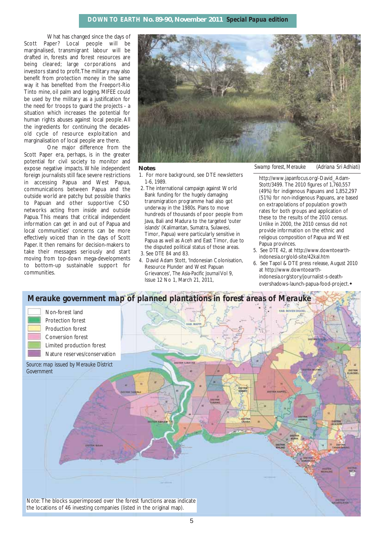What has changed since the days of Scott Paper? Local people will be marginalised, transmigrant labour will be drafted in, forests and forest resources are being cleared; large corporations and investors stand to profit.The military may also benefit from protection money in the same way it has benefited from the Freeport-Rio Tinto mine, oil palm and logging. MIFEE could be used by the military as a justification for the need for troops to guard the projects - a situation which increases the potential for human rights abuses against local people. All the ingredients for continuing the decadesold cycle of resource exploitation and marginalisation of local people are there.

One major difference from the Scott Paper era, perhaps, is in the greater potential for civil society to monitor and expose negative impacts. While independent foreign journalists still face severe restrictions in accessing Papua and West Papua, communications between Papua and the outside world are patchy but possible thanks to Papuan and other supportive CSO networks acting from inside and outside Papua. This means that critical independent information can get in and out of Papua and local communities' concerns can be more effectively voiced than in the days of Scott Paper. It then remains for decision-makers to take their messages seriously and start moving from top-down mega-developments to bottom-up sustainable support for communities.



#### **Notes**

- 1. For more background, see DTE newsletters 1-6, 1989.
- 2. The international campaign against World Bank funding for the hugely damaging transmigration programme had also got underway in the 1980s. Plans to move hundreds of thousands of poor people from Java, Bali and Madura to the targeted 'outer islands' (Kalimantan, Sumatra, Sulawesi, Timor, Papua) were particularly sensitive in Papua as well as Aceh and East Timor, due to the disputed political status of those areas. 3. See *DTE* 84 and 83.
- 4. David Adam Stott, 'Indonesian Colonisation, Resource Plunder and West Papuan Grievances', *The Asia-Pacific Journal* Vol 9, Issue 12 No 1, March 21, 2011,

*Swamp forest, Merauke (Adriana Sri Adhiati)*

http://www.japanfocus.org/-David\_Adam-Stott/3499. The 2010 figures of 1,760,557 (49%) for indigenous Papuans and 1,852,297 (51%) for non-indigenous Papuans, are based on extrapolations of population growth rates for both groups and application of these to the results of the 2010 census. Unlike in 2000, the 2010 census did not provide information on the ethnic and religious composition of Papua and West Papua provinces.

- 5. See *DTE* 42, at http://www.downtoearthindonesia.org/old-site/42kal.htm
- 6. See Tapol & DTE press release, August 2010 at http://www.downtoearthindonesia.org/story/journalist-s-deathovershadows-launch-papua-food-project.

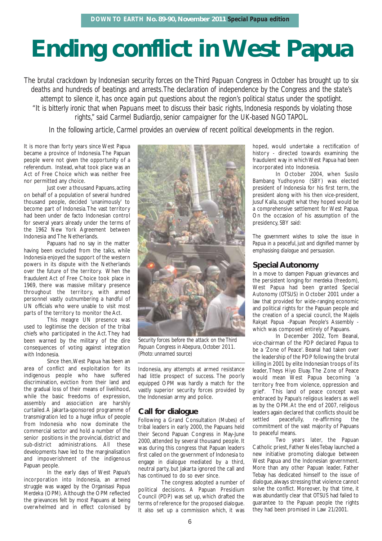# **Ending conflict in West Papua**

*The brutal crackdown by Indonesian security forces on the Third Papuan Congress in October has brought up to six deaths and hundreds of beatings and arrests.The declaration of independence by the Congress and the state's attempt to silence it, has once again put questions about the region's political status under the spotlight. "It is bitterly ironic that when Papuans meet to discuss their basic rights, Indonesia responds by violating those rights," said Carmel Budiardjo, senior campaigner for the UK-based NGO TAPOL.*

*In the following article, Carmel provides an overview of recent political developments in the region.*

It is more than forty years since West Papua became a province of Indonesia. The Papuan people were not given the opportunity of a referendum. Instead, what took place was an Act of Free Choice which was neither free nor permitted any choice.

Just over a thousand Papuans, acting on behalf of a population of several hundred thousand people, decided 'unanimously' to become part of Indonesia.The vast territory had been under de facto Indonesian control for several years already under the terms of the 1962 New York Agreement between Indonesia and The Netherlands.

Papuans had no say in the matter having been excluded from the talks, while Indonesia enjoyed the support of the western powers in its dispute with the Netherlands over the future of the territory. When the fraudulent Act of Free Choice took place in 1969, there was massive military presence throughout the territory, with armed personnel vastly outnumbering a handful of UN officials who were unable to visit most parts of the territory to monitor the Act.

This meagre UN presence was used to legitimise the decision of the tribal chiefs who participated in the Act. They had been warned by the military of the dire consequences of voting against integration with Indonesia.

Since then,West Papua has been an area of conflict and exploitation for its indigenous people who have suffered discrimination, eviction from their land and the gradual loss of their means of livelihood, while the basic freedoms of expression, assembly and association are harshly curtailed.A Jakarta-sponsored programme of transmigration led to a huge influx of people from Indonesia who now dominate the commercial sector and hold a number of the senior positions in the provincial, district and sub-district administrations. All these developments have led to the marginalisation and impoverishment of the indigenous Papuan people.

In the early days of West Papua's incorporation into Indonesia, an armed struggle was waged by the *Organisasi Papua Merdeka* (OPM). Although the OPM reflected the grievances felt by most Papuans at being overwhelmed and in effect colonised by



*Security forces before the attack on the Third Papuan Congress in Abepura, October 2011. (Photo: unnamed source)*

Indonesia, any attempts at armed resistance had little prospect of success. The poorly equipped OPM was hardly a match for the vastly superior security forces provided by the Indonesian army and police.

## **Call for dialogue**

Following a Grand Consultation (*Mubes*) of tribal leaders in early 2000, the Papuans held their Second Papuan Congress in May-June 2000, attended by several thousand people. It was during this congress that Papuan leaders first called on the government of Indonesia to engage in dialogue mediated by a third, neutral party, but Jakarta ignored the call and has continued to do so ever since.

The congress adopted a number of political decisions. A Papuan Presidium Council (PDP) was set up, which drafted the terms of reference for the proposed dialogue. It also set up a commission which, it was

hoped, would undertake a rectification of history - directed towards examining the fraudulent way in which West Papua had been incorporated into Indonesia.

In October 2004, when Susilo Bambang Yudhoyono (SBY) was elected president of Indonesia for his first term, the president along with his then vice-president, Jusuf Kalla, sought what they hoped would be a comprehensive settlement for West Papua. On the occasion of his assumption of the presidency, SBY said:

*The government wishes to solve the issue in Papua in a peaceful, just and dignified manner by emphasising dialogue and persuasion.*

## **Special Autonomy**

In a move to dampen Papuan grievances and the persistent longing for *merdeka* (freedom*)*, West Papua had been granted Special Autonomy (*OTSUS*) in October 2001 under a law that provided for wide-ranging economic and political rights for the Papuan people and the creation of a special council, the *Majelis Rakyat Papua* -Papuan People's Assembly which was composed entirely of Papuans.

In December 2002, Tom Beanal, vice-chairman of the PDP declared Papua to be a 'Zone of Peace'. Beanal had taken over the leadership of the PDP following the brutal killing in 2001 by elite Indonesian troops of its leader, Theys Hiyo Eluay. The Zone of Peace would mean West Papua becoming 'a territory free from violence, oppression and grief'. This land of peace concept was embraced by Papua's religious leaders as well as by the OPM. At the end of 2007, religious leaders again declared that conflicts should be settled peacefully, re-affirming the commitment of the vast majority of Papuans to peaceful means.

Two years later, the Papuan Catholic priest, Father Neles Tebay launched a new initiative promoting dialogue between West Papua and the Indonesian government. More than any other Papuan leader, Father Tebay has dedicated himself to the issue of dialogue,always stressing that violence cannot solve the conflict. Moreover, by that time, it was abundantly clear that *OTSUS* had failed to guarantee to the Papuan people the rights they had been promised in Law 21/2001.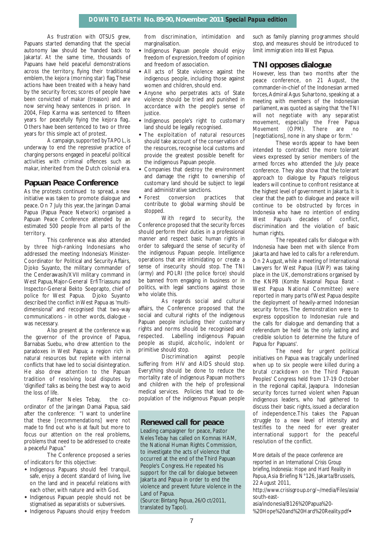As frustration with *OTSUS* grew, Papuans started demanding that the special autonomy law should be 'handed back to Jakarta'. At the same time, thousands of Papuans have held peaceful demonstrations across the territory, flying their traditional emblem, the kejora (morning star) flag.These actions have been treated with a heavy hand by the security forces; scores of people have been convicted of *makar* (treason) and are now serving heavy sentences in prison. In 2004, Filep Karma was sentenced to fifteen years for peacefully flying the kejora flag.. Others have been sentenced to two or three years for this simple act of protest.

A campaign, supported by TAPOL, is underway to end the repressive practice of charging persons engaged in peaceful political activities with criminal offences such as *makar*, inherited from the Dutch colonial era.

## **Papuan Peace Conference**

As the protests continued to spread, a new initiative was taken to promote dialogue and peace. On 7 July this year, the Jaringan Damai Papua (Papua Peace Network) organised a Papuan Peace Conference attended by an estimated 500 people from all parts of the territory.

This conference was also attended by three high-ranking Indonesians who addressed the meeting: Indonesia's Minister-Coordinator for Political and Security Affairs, Djoko Suyanto, the military commander of the Cenderawasih/XVII military command in West Papua, Major-General Erfi Triassunu and Inspector-General Bekto Soeprapto, chief of police for West Papua. Djoko Suyanto described the conflict in West Papua as 'multidimensional' and recognised that two-way communications - in other words, dialogue was necessary.

Also present at the conference was the governor of the province of Papua, Barnabas Suebu, who drew attention to the paradoxes in West Papua; a region rich in natural resources but replete with internal conflicts that have led to social disintegration. He also drew attention to the Papuan tradition of resolving local disputes by 'dignified' talks as being the best way to avoid the loss of life.

Father Neles Tebay, the coordinator of the Jaringan Damai Papua, said after the conference: "I want to underline that these [recommendations] were not made to find out who is at fault but more to focus our attention on the real problems, problems that need to be addressed to create a peaceful Papua."

The Conference proposed a series of indicators for this objective:

- Indigenous Papuans should feel tranquil, safe, enjoy a decent standard of living, live on the land and in peaceful relations with each other, with nature and with God.
- Indigenous Papuan people should not be stigmatised as separatists or subversives.
- Indigenous Papuans should enjoy freedom

from discrimination, intimidation and marginalisation.

- Indigenous Papuan people should enjoy freedom of expression, freedom of opinion and freedom of association.
- All acts of State violence against the indigenous people, including those against women and children, should end.
- Anyone who perpetrates acts of State violence should be tried and punished in accordance with the people's sense of justice.
- Indigenous people's right to customary land should be legally recognised.
- The exploitation of natural resources should take account of the conservation of the resources, recognise local customs and provide the greatest possible benefit for the indigenous Papuan people.
- Companies that destroy the environment and damage the right to ownership of customary land should be subject to legal and administrative sanctions.
- Forest conversion practices that contribute to global warming should be stopped.

With regard to security, the Conference proposed that the security forces should perform their duties in a professional manner and respect basic human rights in order to safeguard the sense of security of the indigenous Papuan people. Intelligence operations that are intimidating or create a sense of insecurity should stop. The TNI (army) and POLRI (the police force) should be banned from engaging in business or in politics, with legal sanctions against those who violate this.

As regards social and cultural affairs, the Conference proposed that the social and cultural rights of the indigenous Papuan people including their customary rights and norms should be recognised and respected. Labelling indigenous Papuan people as stupid, alcoholic, indolent or primitive should stop.

Discrimination against people suffering from HIV and AIDS should stop. Everything should be done to reduce the mortality rate of indigenous Papuan mothers and children with the help of professional medical services. Policies that lead to depopulation of the indigenous Papuan people

## **Renewed call for peace**

Leading campaigner for peace, Pastor Neles Tebay has called on Komnas HAM, the National Human Rights Commission, to investigate the acts of violence that occurred at the end of the Third Papuan People's Congress. He repeated his support for the call for dialogue between Jakarta and Papua in order to end the violence and prevent future violence in the Land of Papua.

(Source: *Bintang Papua*, 26/Oct/2011, translated by Tapol).

such as family planning programmes should stop, and measures should be introduced to limit immigration into West Papua.

## **TNI opposes dialogue**

However, less than two months after the peace conference, on 21 August, the commander-in-chief of the Indonesian armed forces,Admiral Agus Suhartono, speaking at a meeting with members of the Indonesian parliament, was quoted as saying that 'the TNI will not negotiate with any separatist movement, especially the Free Papua Movement (OPM). There are no [negotiations], none in any shape or form.'

These words appear to have been intended to contradict the more tolerant views expressed by senior members of the armed forces who attended the July peace conference. They also show that the tolerant approach to dialogue by Papua's religious leaders will continue to confront resistance at the highest level of government in Jakarta. It is clear that the path to dialogue and peace will continue to be obstructed by forces in Indonesia who have no intention of ending West Papua's decades of conflict, discrimination and the violation of basic human rights.

The repeated calls for dialogue with Indonesia have been met with silence from Jakarta and have led to calls for a referendum. On 2 August, while a meeting of International Lawyers for West Papua (ILWP) was taking place in the UK, demonstrations organised by the KNPB (*Komite Nasional Papua Barat* - West Papua National Committee) were reported in many parts of West Papua despite the deployment of heavily-armed Indonesian security forces. The demonstration were to express opposition to Indonesian rule and the calls for dialogue and demanding that a referendum be held 'as the only lasting and credible solution to determine the future of Papua for Papuans'.

The need for urgent political initiatives on Papua was tragically underlined when up to six people were killed during a brutal crackdown on the Third Papuan Peoples' Congress held from 17-19 October in the regional capital, Jayapura. Indonesian security forces turned violent when Papuan indigenous leaders, who had gathered to discuss their basic rights, issued a declaration of independence.This takes the Papuan struggle to a new level of intensity and testifies to the need for ever greater international support for the peaceful resolution of the conflict.

*More details of the peace conference are reported in an International Crisis Group briefing, Indonesia: Hope and Hard Reality in Papua*,Asia Briefing N°126, Jakarta/Brussels, 22 August 2011,

http://www.crisisgroup.org/~/media/Files/asia/ south-east-

asia/indonesia/B126%20Papua%20- %20Hope%20and%20Hard%20Reality.pdf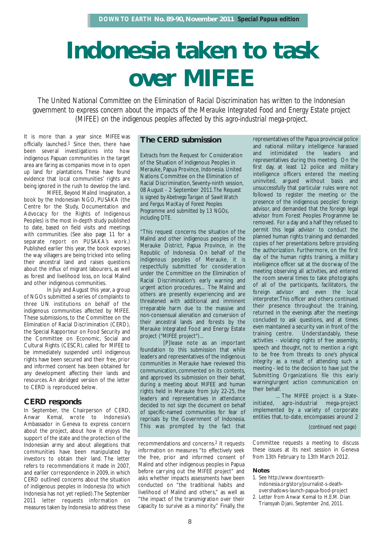# **Indonesia taken to task over MIFEE**

*The United National Committee on the Elimination of Racial Discrimination has written to the Indonesian government to express concern about the impacts of the Merauke Integrated Food and Energy Estate project (MIFEE) on the indigenous peoples affected by this agro-industrial mega-project.*

It is more than a year since MIFEE was officially launched.1 Since then, there have been several investigations into how indigenous Papuan communities in the target area are faring as companies move in to open up land for plantations. These have found evidence that local communities' rights are being ignored in the rush to develop the land.

*MIFEE, Beyond Malind Imagination*, a book by the Indonesian NGO, PUSAKA (the Centre for the Study, Documentation and Advocacy for the Rights of Indigenous Peoples) is the most in-depth study published to date, based on field visits and meetings with communities. (See also page 11 for a separate report on PUSAKA's work.) Published earlier this year, the book exposes the way villagers are being tricked into selling their ancestral land and raises questions about the influx of migrant labourers, as well as forest and livelihood loss, on local Malind and other indigenous communities.

In July and August this year, a group of NGOs submitted a series of complaints to three UN institutions on behalf of the indigenous communities affected by MIFEE. These submissions, to the Committee on the Elimination of Racial Discrimination (CERD), the Special Rapporteur on Food Security and the Committee on Economic, Social and Cultural Rights (CESCR), called for MIFEE to be immediately suspended until indigenous rights have been secured and their free, prior and informed consent has been obtained for any development affecting their lands and resources. An abridged version of the letter to CERD is reproduced below.

## **CERD responds**

In September, the Chairperson of CERD, Anwar Kemal, wrote to Indonesia's Ambassador in Geneva to express concern about the project, about how it enjoys the support of the state and the protection of the Indonesian army and about allegations that communities have been manipulated by investors to obtain their land. The letter refers to recommendations it made in 2007, and earlier correspondence in 2009, in which CERD outlined concerns about the situation of indigenous peoples in Indonesia (to which Indonesia has not yet replied).The September 2011 letter requests information on measures taken by Indonesia to address these

## **The CERD submission**

*Extracts from the* Request for Consideration of the Situation of Indigenous Peoples in Merauke, Papua Province, Indonesia. United Nations Committee on the Elimination of Racial Discrimination, Seventy-ninth session, 08 August - 2 September 2011*.The Request is signed by Abetnego Tarigan of Sawit Watch and Fergus MacKay of Forest Peoples Programme and submitted by 13 NGOs, including DTE.*

"This request concerns the situation of the Malind and other indigenous peoples of the Merauke District, Papua Province, in the Republic of Indonesia. On behalf of the indigenous peoples of Merauke, it is respectfully submitted for consideration under the Committee on the Elimination of Racial Discrimination's early warning and urgent action procedures... The Malind and others are presently experiencing and are threatened with additional and imminent irreparable harm due to the massive and non-consensual alienation and conversion of their ancestral lands and forests by the Merauke Integrated Food and Energy Estate project ("MIFEE project")...

[P]lease note as an important foundation to this submission that while leaders and representatives of the indigenous communities in Merauke have reviewed this communication, commented on its contents, and approved its submission on their behalf, during a meeting about MIFEE and human rights held in Merauke from July 22-25, the leaders and representatives in attendance decided to not sign the document on behalf of specific-named communities for fear of reprisals by the Government of Indonesia. This was prompted by the fact that

recommendations and concerns.2 It requests information on measures "to effectively seek the free, prior and informed consent of Malind and other indigenous peoples in Papua before carrying out the MIFEE project" and asks whether impacts assessments have been conducted on "the traditional habits and livelihood of Malind and others," as well as "the impact of the transmigration over their capacity to survive as a minority." Finally, the

representatives of the Papua provincial police and national military intelligence harassed and intimidated the leaders and representatives during this meeting. On the first day, at least 12 police and military intelligence officers entered the meeting uninvited, argued without basis and unsuccessfully that particular rules were not followed to register the meeting or the presence of the indigenous peoples' foreign advisor, and demanded that the foreign legal advisor from Forest Peoples Programme be removed. For a day and a half they refused to permit this legal advisor to conduct the planned human rights training and demanded copies of her presentations before providing the authorization. Furthermore, on the first day of the human rights training, a military intelligence officer sat at the doorway of the meeting observing all activities, and entered the room several times to take photographs of all of the participants, facilitators, the foreign advisor and even the local interpreter.This officer and others continued their presence throughout the training, returned in the evenings after the meetings concluded to ask questions, and at times even maintained a security van in front of the training centre. Understandably, these activities - violating rights of free assembly, speech and thought, not to mention a right to be free from threats to one's physical integrity as a result of attending such a meeting - led to the decision to have just the Submitting Organizations file this early warning/urgent action communication on their behalf.

... The MIFEE project is a Stateinitiated, agro-industrial mega-project implemented by a variety of corporate entities that, to-date, encompasses around 2

*(continued next page)*

Committee requests a meeting to discuss these issues at its next session in Geneva from 13th February to 13th March 2012.

#### **Notes**

- 1. See http://www.downtoearthindonesia.org/story/journalist-s-deathovershadows-launch-papua-food-project
- 2. Letter from Anwar Kemal to H.E.M. Dian Triansyah Djani, September 2nd, 2011.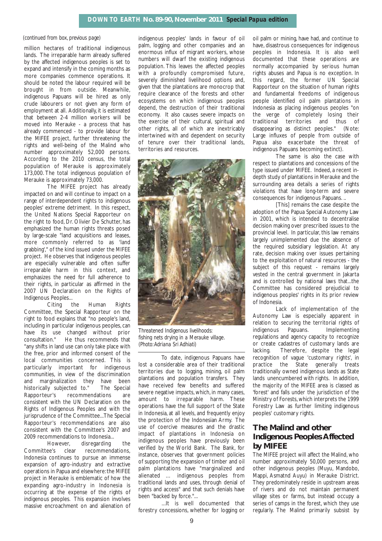#### *(continued from box, previous page)*

million hectares of traditional indigenous lands. The irreparable harm already suffered by the affected indigenous peoples is set to expand and intensify in the coming months as more companies commence operations. It should be noted the labour required will be brought in from outside. Meanwhile, indigenous Papuans will be hired as only crude labourers or not given any form of employment at all. Additionally, it is estimated that between 2-4 million workers will be moved into Merauke - a process that has already commenced - to provide labour for the MIFEE project, further threatening the rights and well-being of the Malind who number approximately 52,000 persons. According to the 2010 census, the total population of Merauke is approximately 173,000. The total indigenous population of Merauke is approximately 73,000.

The MIFEE project has already impacted on and will continue to impact on a range of interdependent rights to indigenous peoples' extreme detriment. In this respect, the United Nations Special Rapporteur on the right to food, Dr. Olivier De Schutter, has emphasized the human rights threats posed by large-scale "land acquisitions and leases, more commonly referred to as 'land grabbing'," of the kind issued under the MIFEE project. He observes that indigenous peoples are especially vulnerable and often suffer irreparable harm in this context, and emphasizes the need for full adherence to their rights, in particular as affirmed in the 2007 UN Declaration on the Rights of Indigenous Peoples...

Citing the Human Rights Committee, the Special Rapporteur on the right to food explains that "no people's land, including in particular indigenous peoples, can have its use changed without prior consultation." He thus recommends that "any shifts in land use can only take place with the free, prior and informed consent of the local communities concerned. This is particularly important for indigenous communities, in view of the discrimination and marginalization they have been historically subjected to." The Special Rapporteur's recommendations are consistent with the UN Declaration on the Rights of Indigenous Peoples and with the jurisprudence of the Committee...The Special Rapporteur's recommendations are also consistent with the Committee's 2007 and 2009 recommendations to Indonesia...

However, disregarding the Committee's clear recommendations, Indonesia continues to pursue an immense expansion of agro-industry and extractive operations in Papua and elsewhere: the MIFEE project in Merauke is emblematic of how the expanding agro-industry in Indonesia is occurring at the expense of the rights of indigenous peoples. This expansion involves massive encroachment on and alienation of

indigenous peoples' lands in favour of oil palm, logging and other companies and an enormous influx of migrant workers, whose numbers will dwarf the existing indigenous population. This leaves the affected peoples with a profoundly compromised future, severely diminished livelihood options and, given that the plantations are monocrop that require clearance of the forests and other ecosystems on which indigenous peoples depend, the destruction of their traditional economy. It also causes severe impacts on the exercise of their cultural, spiritual and other rights, all of which are inextricably intertwined with and dependent on security of tenure over their traditional lands, territories and resources.



*Threatened Indigenous livelihoods: fishing nets drying in a Merauke village. (Photo:Adriana Sri Adhiati)*

To date, indigenous Papuans have lost a considerable area of their traditional territories due to logging, mining, oil palm plantations and population transfers. They have received few benefits and suffered severe negative impacts, which, in many cases, amount to irreparable harm. These operations have the full support of the State in Indonesia, at all levels, and frequently enjoy the protection of the Indonesian Army. The use of coercive measures and the drastic impact of plantations in Indonesia on indigenous peoples have previously been verified by the World Bank. The Bank, for instance, observes that government policies of supporting the expansion of timber and oil palm plantations have "marginalized and alienated … indigenous peoples from traditional lands and uses, through denial of rights and access" and that such denials have been "backed by force."...

...It is well documented that forestry concessions, whether for logging or

oil palm or mining, have had, and continue to have, disastrous consequences for indigenous peoples in Indonesia. It is also well documented that these operations are normally accompanied by serious human rights abuses and Papua is no exception. In this regard, the former UN Special Rapporteur on the situation of human rights and fundamental freedoms of indigenous people identified oil palm plantations in Indonesia as placing indigenous peoples "on the verge of completely losing their traditional territories and thus of disappearing as distinct peoples." (Note: Large influxes of people from outside of Papua also exacerbate the threat of indigenous Papuans becoming extinct).

The same is also the case with respect to plantations and concessions of the type issued under MIFEE. Indeed, a recent indepth study of plantations in Merauke and the surrounding area details a series of rights violations that have long-term and severe consequences for indigenous Papuans. ..

[This] remains the case despite the adoption of the Papua Special Autonomy Law in 2001, which is intended to decentralise decision making over prescribed issues to the provincial level. In particular, this law remains largely unimplemented due the absence of the required subsidiary legislation. At any rate, decision making over issues pertaining to the exploitation of natural resources - the subject of this request - remains largely vested in the central government in Jakarta and is controlled by national laws that...the Committee has considered prejudicial to indigenous peoples' rights in its prior review of Indonesia.

Lack of implementation of the Autonomy Law is especially apparent in relation to securing the territorial rights of indigenous Papuans. Implementing regulations and agency capacity to recognize or create cadastres of customary lands are lacking. Therefore, despite the legal recognition of vague 'customary rights', in practice the State generally treats traditionally owned indigenous lands as State lands unencumbered with rights. In addition, the majority of the MIFEE area is classed as 'forest' and falls under the jurisdiction of the Ministry of Forests, which interprets the 1999 Forestry Law as further limiting indigenous peoples' customary rights.

## **The Malind and other Indigenous Peoples Affected by MIFEE**

The MIFEE project will affect the Malind, who number approximately 50,000 persons, and other indigenous peoples (Muyu, Mandobo, Mappi, Asmatnd Auyu) in Merauke District. They predominately reside in upstream areas of rivers and do not maintain permanent village sites or farms, but instead occupy a series of camps in the forest, which they use regularly. The Malind primarily subsist by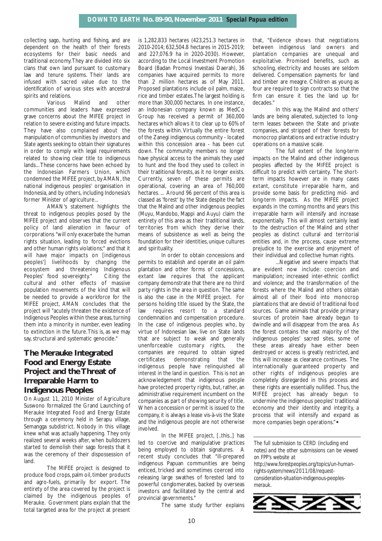collecting sago, hunting and fishing, and are dependent on the health of their forests ecosystems for their basic needs and traditional economy.They are divided into six clans that own land pursuant to customary law and tenure systems. Their lands are infused with sacred value due to the identification of various sites with ancestral spirits and relations.

Various Malind and other communities and leaders have expressed grave concerns about the MIFEE project in relation to severe existing and future impacts. They have also complained about the manipulation of communities by investors and State agents seeking to obtain their signatures in order to comply with legal requirements related to showing clear title to indigenous lands...These concerns have been echoed by the Indonesian Farmers Union, which condemned the MIFEE project, by AMAN, the national indigenous peoples' organisation in Indonesia, and by others, including Indonesia's former Minister of agriculture...

AMAN's statement highlights the threat to indigenous peoples posed by the MIFEE project and observes that the current policy of land alienation in favour of corporations "will only exacerbate the human rights situation, leading to forced evictions and other human rights violations;" and that it will have major impacts on [indigenous peoples'] livelihoods by changing the ecosystem and threatening Indigenous Peoples' food sovereignty." Citing the cultural and other effects of massive population movements of the kind that will be needed to provide a workforce for the MIFEE project, AMAN concludes that the project will "acutely threaten the existence of Indigenous Peoples within these areas, turning them into a minority in number, even leading to extinction in the future.This is, as we may say, structural and systematic genocide."

## **The Merauke Integrated Food and Energy Estate Project and the Threat of Irreparable Harm to Indigenous Peoples**

On August 11, 2010 Minister of Agriculture Suswono formalized the Grand Launching of Merauke Integrated Food and Energy Estate through a ceremony held in Serapu village, Semangga subdistrict. Nobody in this village knew what was actually happening. They only realized several weeks after, when bulldozers started to demolish their sago forests that it was the ceremony of their dispossession of land.

The MIFEE project is designed to produce food crops, palm oil, timber products and agro-fuels, primarily for export. The entirety of the area covered by the project is claimed by the indigenous peoples of Merauke. Government plans explain that the total targeted area for the project at present is 1,282,833 hectares (423,251.3 hectares in 2010-2014; 632,504.8 hectares in 2015-2019; and 227,076.9 ha in 2020-2030). However, according to the Local Investment Promotion Board (Badan Promosi Investasi Daerah), 36 companies have acquired permits to more than 2 million hectares as of May 2011. Proposed plantations include oil palm, maize, rice and timber estates.The largest holding is more than 300,000 hectares. In one instance, an Indonesian company known as MedCo Group has received a permit of 360,000 hectares which allows it to clear up to 60% of the forests within. Virtually the entire forest of the Zanegi indigenous community - located within this concession area - has been cut down. The community members no longer have physical access to the animals they used to hunt and the food they used to collect in their traditional forests, as it no longer exists. Currently, seven of these permits are operational, covering an area of 760,000 hectares. ... Around 96 percent of this area is classed as 'forest' by the State despite the fact that the Malind and other indigenous peoples (Muyu, Mandobo, Mappi and Auyu) claim the entirety of this area as their traditional lands, territories from which they derive their means of subsistence as well as being the foundation for their identities, unique cultures and spirituality.

In order to obtain concessions and permits to establish and operate an oil palm plantation and other forms of concessions, extant law requires that the applicant company demonstrate that there are no third party rights in the area in question. The same is also the case in the MIFEE project. For persons holding title issued by the State, the law requires resort to a standard condemnation and compensation procedure. In the case of indigenous peoples who, by virtue of Indonesian law, live on State lands that are subject to weak and generally unenforceable customary rights, the companies are required to obtain signed certificates demonstrating that the indigenous people have relinquished all interest in the land in question. This is not an acknowledgement that indigenous people have protected property rights, but, rather, an administrative requirement incumbent on the companies as part of showing security of title. When a concession or permit is issued to the company, it is always a lease vis-à-vis the State and the indigenous people are not otherwise involved.

In the MIFEE project, [..this..] has led to coercive and manipulative practices being employed to obtain signatures. A recent study concludes that "ill-prepared indigenous Papuan communities are being enticed, tricked and sometimes coerced into releasing large swathes of forested land to powerful conglomerates, backed by overseas investors and facilitated by the central and provincial governments."

The same study further explains

that, "Evidence shows that negotiations between indigenous land owners and plantation companies are unequal and exploitative. Promised benefits, such as schooling, electricity and houses are seldom delivered. Compensation payments for land and timber are meagre. Children as young as four are required to sign contracts so that the firm can ensure it ties the land up for decades."

In this way, the Malind and others' lands are being alienated, subjected to longterm leases between the State and private companies, and stripped of their forests for monocrop plantations and extractive industry operations on a massive scale.

The full extent of the long-term impacts on the Malind and other indigenous peoples affected by the MIFEE project is difficult to predict with certainty. The shortterm impacts however are in many cases extant, constitute irreparable harm, and provide some basis for predicting mid- and long-term impacts. As the MIFEE project expands in the coming months and years this irreparable harm will intensify and increase exponentially. This will almost certainly lead to the destruction of the Malind and other peoples as distinct cultural and territorial entities and, in the process, cause extreme prejudice to the exercise and enjoyment of their individual and collective human rights.

...Negative and severe impacts that are evident now include: coercion and manipulation; increased inter-ethnic conflict and violence; and the transformation of the forests where the Malind and others obtain almost all of their food into monocrop plantations that are devoid of traditional food sources. Game animals that provide primary sources of protein have already begun to dwindle and will disappear from the area. As the forest contains the vast majority of the indigenous peoples' sacred sites, some of these areas already have either been destroyed or access is greatly restricted, and this will increase as clearance continues. The internationally guaranteed property and other rights of indigenous peoples are completely disregarded in this process and these rights are essentially nullified. Thus, the MIFEE project has already begun to undermine the indigenous peoples' traditional economy and their identity and integrity, a process that will intensify and expand as more companies begin operations."

*The full submission to CERD (including end notes) and the other submissions can be viewed on FPP's website at*

*http://www.forestpeoples.org/topics/un-humanrights-system/news/2011/08/requestconsideration-situation-indigenous-peoplesmerauk.*

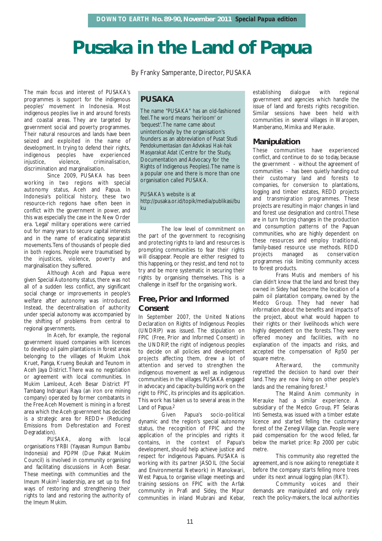## **Pusaka in the Land of Papua**

By Franky Samperante, Director, PUSAKA

The main focus and interest of PUSAKA's programmes is support for the indigenous peoples' movement in Indonesia. Most indigenous peoples live in and around forests and coastal areas. They are targeted by government social and poverty programmes. Their natural resources and lands have been seized and exploited in the name of development. In trying to defend their rights, indigenous peoples have experienced injustice, violence, criminalisation, discrimination and marginalisation.

Since 2009, PUSAKA has been working in two regions with special autonomy status, Aceh and Papua. In Indonesia's political history, these two resource-rich regions have often been in conflict with the government in power, and this was especially the case in the New Order era. 'Legal' military operations were carried out for many years to secure capital interests and in the name of eradicating separatist movements.Tens of thousands of people died in both regions. People were traumatised by the injustices, violence, poverty and marginalisation they suffered.

Although Aceh and Papua were given Special Autonomy status, there was not all of a sudden less conflict, any significant social change or improvements in people's welfare after autonomy was introduced. Instead, the decentralisation of authority under special autonomy was accompanied by the shifting of problems from central to regional governments.

In Aceh, for example, the regional government issued companies with licences to develop oil palm plantations in forest areas belonging to the villages of Mukim Lhok Kruet, Panga, Krueng Beukah and Teunom in Aceh Jaya District.There was no negotiation or agreement with local communities. In Mukim Lamloeut, Aceh Besar District PT Tambang Indrapuri Raya (an iron ore mining company) operated by former combatants in the Free Aceh Movement is mining in a forest area which the Aceh government has decided is a strategic area for REDD+ (Reducing Emissions from Deforestation and Forest Degradation).

PUSAKA, along with local organisations YRBI (Yayasan Rumpun Bambu Indonesia) and PDPM (Due Pakat Mukim Council) is involved in community organising and facilitating discussions in Aceh Besar. These meetings with communities and the *Imeum Mukim*1 leadership, are set up to find ways of restoring and strengthening their rights to land and restoring the authority of the *Imeum Mukim*.

## **PUSAKA**

The name "PUSAKA" has an old-fashioned feel.The word means 'heirloom' or 'bequest'.The name came about unintentionally by the organisation's founders as an abbreviation of *Pusat Studi Pendokumentasian dan Advokasi Hak-hak Masyarakat Adat* (Centre for the Study, Documentation and Advocacy for the Rights of Indigenous Peoples).The name is a popular one and there is more than one organisation called PUSAKA.

PUSAKA's website is at http://pusaka.or.id/topik/media/publikasi/bu ku

The low level of commitment on the part of the government to recognising and protecting rights to land and resources is prompting communities to fear their rights will disappear. People are either resigned to this happening, or they resist, and tend not to try and be more systematic in securing their rights by organising themselves. This is a challenge in itself for the organising work.

## **Free, Prior and Informed Consent**

In September 2007, the United Nations Declaration on Rights of Indigenous Peoples (UNDRIP) was issued. The stipulation on FPIC (Free, Prior and Informed Consent) in the UNDRIP, the right of indigenous peoples to decide on all policies and development projects affecting them, drew a lot of attention and served to strengthen the indigenous movement as well as indigenous communities in the villages. PUSAKA engaged in advocacy and capacity-building work on the right to FPIC, its principles and its application. This work has taken us to several areas in the Land of Papua.2

Given Papua's socio-political dynamic and the region's special autonomy status, the recognition of FPIC and the application of the principles and rights it contains, in the context of Papua's development, should help achieve justice and respect for indigenous Papuans. PUSAKA is working with its partner JASOIL (the Social and Environmental Network) in Manokwari, West Papua, to organise village meetings and training sessions on FPIC with the Arfak community in Prafi and Sidey, the Mpur communities in inland Mubrani and Kebar,

establishing dialogue with regional government and agencies which handle the issue of land and forests rights recognition. Similar sessions have been held with communities in several villages in Waropen, Mamberamo, Mimika and Merauke.

## **Manipulation**

These communities have experienced conflict, and continue to do so today, because the government - without the agreement of communities - has been quietly handing out their customary land and forests to companies, for conversion to plantations, logging and timber estates, REDD projects and transmigration programmes. These projects are resulting in major changes in land and forest use designation and control.These are in turn forcing changes in the production and consumption patterns of the Papuan communities, who are highly dependent on these resources and employ traditional, family-based resource use methods. REDD projects managed as conservation programmes risk limiting community access to forest products.

Frans Mutis and members of his clan didn't know that the land and forest they owned in Sidey had become the location of a palm oil plantation company, owned by the Medco Group. They had never had information about the benefits and impacts of the project, about what would happen to their rights or their livelihoods which were highly dependent on the forests. They were offered money and facilities, with no explanation of the impacts and risks, and accepted the compensation of Rp50 per square metre.

Afterward, the community regretted the decision to hand over their land. They are now living on other people's lands and the remaining forest.<sup>3</sup>

The Malind Anim community in Merauke had a similar experience. A subsidiary of the Medco Group, PT Selaras Inti Semesta, was issued with a timber estate licence and started felling the customary forest of the Zenegi Village clan. People were paid compensation for the wood felled, far below the market price: Rp 2000 per cubic metre.

This community also regretted the agreement, and is now asking to renegotiate it before the company starts felling more trees under its next annual logging plan (RKT).

Community voices and their demands are manipulated and only rarely reach the policy-makers, the local authorities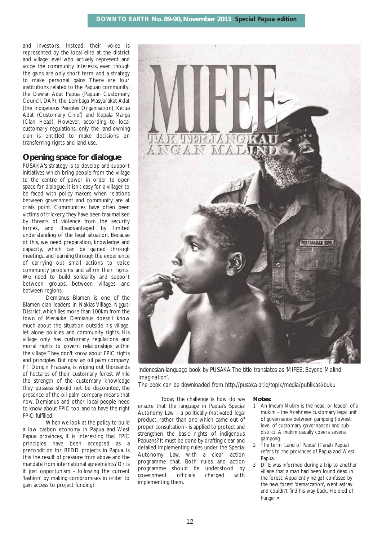and investors. Instead, their voice is represented by the local elite at the district and village level who actively represent and voice the community interests, even though the gains are only short term, and a strategy to make personal gains. There are four institutions related to the Papuan community: the Dewan Adat Papua (Papuan Customary Council, DAP), the Lembaga Masyarakat Adat (the Indigenous Peoples Organisation), Ketua Adat (Customary Chief) and Kepala Marga (Clan Head). However, according to local customary regulations, only the land-owning clan is entitled to make decisions on transferring rights and land use.

## **Opening space for dialogue**

PUSAKA's strategy is to develop and support initiatives which bring people from the village to the centre of power in order to open space for dialogue. It isn't easy for a villager to be faced with policy-makers when relations between government and community are at crisis point. Communities have often been victims of trickery, they have been traumatised by threats of violence from the security forces, and disadvantaged by limited understanding of the legal situation. Because of this, we need preparation, knowledge and capacity, which can be gained through meetings, and learning through the experience of carrying out small actions to voice community problems and affirm their rights. We need to build solidarity and support between groups, between villages and between regions.

Demianus Blamen is one of the Blamen clan leaders in Nakias Village, Ngguti District, which lies more than 100km from the town of Merauke. Demianus doesn't know much about the situation outside his village, let alone policies and community rights. His village only has customary regulations and moral rights to govern relationships within the village.They don't know about FPIC rights and principles. But now an oil palm company, PT Dongin Prabawa, is wiping out thousands of hectares of their customary forest. While the strength of the customary knowledge they possess should not be discounted, the presence of the oil palm company means that now, Demianus and other local people need to know about FPIC too, and to have the right FPIC fulfilled.

When we look at the policy to build a low carbon economy in Papua and West Papua provinces, it is interesting that FPIC principles have been accepted as a precondition for REDD projects in Papua. Is this the result of pressure from above and the mandate from international agreements? Or is it just opportunism - following the current 'fashion' by making compromises in order to gain access to project funding?



*Indonesian-language book by PUSAKA.The title translates as 'MIFEE: Beyond Malind Imagination'.*

*The book can be downloaded from http://pusaka.or.id/topik/media/publikasi/buku*

Today the challenge is how do we ensure that the language in Papua's Special Autonomy Law - a politically-motivated legal product, rather than one which came out of proper consultation - is applied to protect and strengthen the basic rights of indigenous Papuans? It must be done by drafting clear and detailed implementing rules under the Special Autonomy Law, with a clear action programme that. Both rules and action programme should be understood by government officials charged with implementing them.

#### **Notes:**

- 1 An *Imeum Mukim* is the head, or leader, of a mukim - the Acehnese customary legal unit of governance between *gampong* (lowest level of customary governance) and subdistrict. A *mukim* usually covers several *gampong.*
- 2 The term 'Land of Papua' (Tanah Papua) refers to the provinces of Papua and West Papua.
- 3 DTE was informed during a trip to another village that a man had been found dead in the forest. Apparently he got confused by the new forest 'demarcation', went astray and couldn't find his way back. He died of hunger.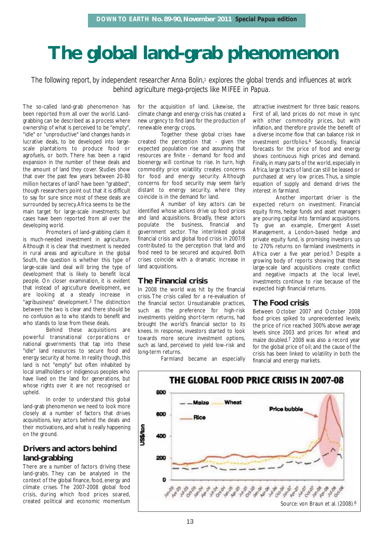## **The global land-grab phenomenon**

*The following report, by independent researcher Anna Bolin,1 explores the global trends and influences at work behind agriculture mega-projects like MIFEE in Papua.*

The so-called land-grab phenomenon has been reported from all over the world. Landgrabbing can be described as a process where ownership of what is perceived to be "empty", "idle" or "unproductive" land changes hands in lucrative deals, to be developed into largescale plantations to produce food or agrofuels, or both. There has been a rapid expansion in the number of these deals and the amount of land they cover. Studies show that over the past few years between 20-80 million hectares of land2 have been "grabbed", though researchers point out that it is difficult to say for sure since most of these deals are surrounded by secrecy.Africa seems to be the main target for large-scale investments but cases have been reported from all over the developing world.

Promoters of land-grabbing claim it is much-needed investment in agriculture. Although it is clear that investment is needed in rural areas and agriculture in the global South, the question is whether this type of large-scale land deal will bring the type of development that is likely to benefit local people. On closer examination, it is evident that instead of agriculture development, we are looking at a steady increase in "agribusiness" development.3 The distinction between the two is clear and there should be no confusion as to who stands to benefit and who stands to lose from these deals.

Behind these acquisitions are powerful transnational corporations or national governments that tap into these "idle" land resources to secure food and energy security at home. In reality though, this land is not "empty" but often inhabited by local smallholders or indigenous peoples who have lived on the land for generations, but whose rights over it are not recognised or upheld.

In order to understand this global land-grab phenomenon we need to look more closely at a number of factors that drives acquisitions, key actors behind the deals and their motivations, and what is really happening on the ground.

## **Drivers and actors behind land-grabbing**

There are a number of factors driving these land-grabs. They can be analysed in the context of the global finance, food, energy and climate crises. The 2007-2008 global food crisis, during which food prices soared, created political and economic momentum

for the acquisition of land. Likewise, the climate change and energy crisis has created a new urgency to find land for the production of renewable energy crops.

Together these global crises have created the perception that - given the expected population rise and assuming that resources are finite - demand for food and bioenergy will continue to rise. In turn, high commodity price volatility creates concerns for food and energy security. Although concerns for food security may seem fairly distant to energy security, where they coincide is in the demand for land.

A number of key actors can be identified whose actions drive up food prices and land acquisitions. Broadly, these actors populate the business, financial and government sector. The interlinked global financial crisis and global food crisis in 2007/8 contributed to the perception that land and food need to be secured and acquired. Both crises coincide with a dramatic increase in land acquisitions.

### **The Financial crisis**

In 2008 the world was hit by the financial crisis. The crisis called for a re-evaluation of the financial sector. Unsustainable practices, such as the preference for high-risk investments yielding short-term returns, had brought the world's financial sector to its knees. In response, investors started to look towards more secure investment options, such as land, perceived to yield low-risk and long-term returns.

attractive investment for three basic reasons. First of all, land prices do not move in sync with other commodity prices, but with inflation, and therefore provide the benefit of a diverse income flow that can balance risk in investment portfolios.4 Secondly, financial forecasts for the price of food and energy shows continuous high prices and demand. Finally, in many parts of the world, especially in Africa, large tracts of land can still be leased or purchased at very low prices. Thus, a simple equation of supply and demand drives the interest in farmland.

Another important driver is the expected return on investment. Financial equity firms, hedge funds and asset managers are pouring capital into farmland acquisitions. To give an example, Emergent Asset Management, a London-based hedge and private equity fund, is promising investors up to 270% returns on farmland investments in Africa over a five year period.<sup>5</sup> Despite a growing body of reports showing that these large-scale land acquisitions create conflict and negative impacts at the local level, investments continue to rise because of the expected high financial returns.

## **The Food crisis**

Between October 2007 and October 2008 food prices spiked to unprecedented levels; the price of rice reached 300% above average levels since 2003 and prices for wheat and maize doubled.7 2008 was also a record year for the global price of oil; and the cause of the crisis has been linked to volatility in both the financial and energy markets.

Farmland became an especially

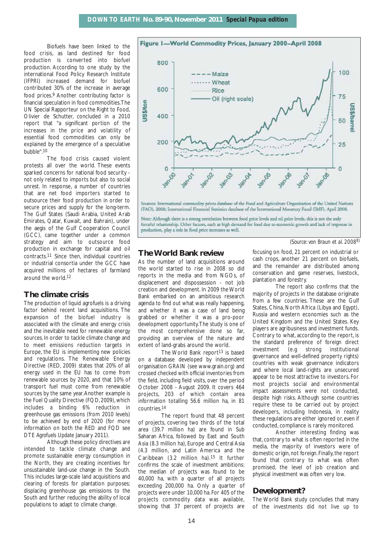Biofuels have been linked to the food crisis, as land destined for food production is converted into biofuel production. According to one study by the international Food Policy Research Institute (IFPRI) increased demand for biofuel contributed 30% of the increase in average food prices.9 Another contributing factor is financial speculation in food commodities.The UN Special Rapporteur on the Right to Food, Olivier de Schutter, concluded in a 2010 report that "a significant portion of the increases in the price and volatility of essential food commodities can only be explained by the emergence of a speculative bubble".10

The food crisis caused violent protests all over the world. These events sparked concerns for national food security not only related to imports but also to social unrest. In response, a number of countries that are net food importers started to outsource their food production in order to secure prices and supply for the long-term. The Gulf States (Saudi Arabia, United Arab Emirates, Qatar, Kuwait, and Bahrain), under the aegis of the Gulf Cooperation Council (GCC), came together under a common strategy and aim to outsource food production in exchange for capital and oil contracts.11 Since then, individual countries or industrial consortia under the GCC have acquired millions of hectares of farmland around the world.12

### **The climate crisis**

The production of liquid agrofuels is a driving factor behind recent land acquisitions. The expansion of the biofuel industry is associated with the climate and energy crisis and the inevitable need for renewable energy sources. In order to tackle climate change and to meet emissions reduction targets in Europe, the EU is implementing new policies and regulations. The Renewable Energy Directive (RED, 2009) states that 20% of all energy used in the EU has to come from renewable sources by 2020, and that 10% of transport fuel must come from renewable sources by the same year.Another example is the Fuel Quality Directive (FQD, 2009), which includes a binding 6% reduction in greenhouse gas emissions (from 2010 levels) to be achieved by end of 2020 (for more information on both the RED and FQD see DTE *Agrofuels Update* January 2011).

Although these policy directives are intended to tackle climate change and promote sustainable energy consumption in the North, they are creating incentives for unsustainable land-use change in the South. This includes large-scale land acquisitions and clearing of forests for plantation purposes; displacing greenhouse gas emissions to the South and further reducing the ability of local populations to adapt to climate change.



Note: Although there is a strong correlation between food price levels and oil price levels, this is not the only forceful relationship. Other factors, such as high demand for food due to economic growth and lack of response in production, play a role in food price increases as well.

*(Source: von Braun et al. 20088)*

### **The World Bank review**

As the number of land acquisitions around the world started to rise in 2008 so did reports in the media and from NGOs, of displacement and dispossession - not job creation and development. In 2009 the World Bank embarked on an ambitious research agenda to find out what was really happening, and whether it was a case of land being grabbed or whether it was a pro-poor development opportunity.The study is one of the most comprehensive done so far, providing an overview of the nature and extent of land-grabs around the world.

The World Bank report<sup>13</sup> is based on a database developed by independent organisation GRAIN (see www.grain.org) and crossed checked with official inventories from the field, including field visits, over the period October 2008 - August 2009. It covers 464 projects, 203 of which contain area information totalling 56.6 million ha, in 81 countries.14

The report found that 48 percent of projects, covering two thirds of the total area (39.7 million ha) are found in Sub Saharan Africa, followed by East and South Asia (8.3 million ha), Europe and Central Asia (4.3 million, and Latin America and the Caribbean (3.2 million ha).15 It further confirms the scale of investment ambitions: the median of projects was found to be 40,000 ha, with a quarter of all projects exceeding 200,000 ha. Only a quarter of projects were under 10,000 ha.For 405 of the projects commodity data was available, showing that 37 percent of projects are focusing on food, 21 percent on industrial or cash crops, another 21 percent on biofuels, and the remainder are distributed among conservation and game reserves, livestock, plantation and forestry.

The report also confirms that the majority of projects in the database originate from a few countries. These are the Gulf States, China, North Africa (Libya and Egypt), Russia and western economies such as the United Kingdom and the United States. Key players are agribusiness and investment funds. Contrary to what, according to the report, is the standard preference of foreign direct investment (e.g strong institutional governance and well-defined property rights) countries with weak governance indicators and where local land-rights are unsecured appear to be most attractive to investors. For most projects social and environmental impact assessments were not conducted, despite high risks. Although some countries require these to be carried out by project developers, including Indonesia, in reality these regulations are either ignored or, even if conducted, compliance is rarely monitored.

Another interesting finding was that,contrary to what is often reported in the media, the majority of investors were of domestic origin, not foreign. Finally, the report found that contrary to what was often promised, the level of job creation and physical investment was often very low.

#### **Development?**

The World Bank study concludes that many of the investments did not live up to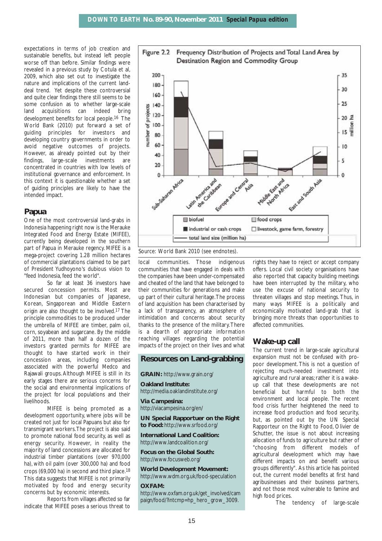expectations in terms of job creation and sustainable benefits, but instead left people worse off than before. Similar findings were revealed in a previous study by Cotula et al, 2009, which also set out to investigate the nature and implications of the current landdeal trend. Yet despite these controversial and quite clear findings there still seems to be some confusion as to whether large-scale land acquisitions can indeed bring development benefits for local people.16 The World Bank (2010) put forward a set of guiding principles for investors and developing country governments in order to avoid negative outcomes of projects. However, as already pointed out by their findings, large-scale investments are concentrated in countries with low levels of institutional governance and enforcement. In this context it is questionable whether a set of guiding principles are likely to have the intended impact.

#### **Papua**

One of the most controversial land-grabs in Indonesia happening right now is the Merauke Integrated Food and Energy Estate (MIFEE), currently being developed in the southern part of Papua in Merauke regency. MIFEE is a mega-project covering 1.28 million hectares of commercial plantations claimed to be part of President Yudhoyono's dubious vision to "feed Indonesia, feed the world".

So far at least 36 investors have secured concession permits. Most are Indonesian but companies of Japanese, Korean, Singaporean and Middle Eastern origin are also thought to be involved.17 The principle commodities to be produced under the umbrella of MIFEE are timber, palm oil, corn, soyabean and sugarcane. By the middle of 2011, more than half a dozen of the investors granted permits for MIFEE are thought to have started work in their concession areas, including companies associated with the powerful Medco and Rajawali groups. Although MIFEE is still in its early stages there are serious concerns for the social and environmental implications of the project for local populations and their livelihoods.

MIFEE is being promoted as a development opportunity, where jobs will be created not just for local Papuans but also for transmigrant workers.The project is also said to promote national food security, as well as energy security. However, in reality the majority of land concessions are allocated for industrial timber plantations (over 970,000 ha), with oil palm (over 300,000 ha) and food crops (69,000 ha) in second and third place.18 This data suggests that MIFEE is not primarily motivated by food and energy security concerns but by economic interests.

Reports from villages affected so far indicate that MIFEE poses a serious threat to



Source: World Bank 2010 (see endnotes).

local communities. Those indigenous communities that have engaged in deals with the companies have been under-compensated and cheated of the land that have belonged to their communities for generations and make up part of their cultural heritage.The process of land acquisition has been characterised by a lack of transparency, an atmosphere of intimidation and concerns about security thanks to the presence of the military.There is a dearth of appropriate information reaching villages regarding the potential impacts of the project on their lives and what

## **Resources on Land-grabbing**

**GRAIN:** http://www.grain.org/

**Oakland Institute:** http://media.oaklandinstitute.org/

**Via Campesina:** http://viacampesina.org/en/

**UN Special Rapportuer on the Right to Food:** http://www.srfood.org/

**International Land Coalition:** http://www.landcoalition.org/

**Focus on the Global South:** http://www.focusweb.org/

**World Development Movement:** http://www.wdm.org.uk/food-speculation

#### **OXFAM:**

http://www.oxfam.org.uk/get\_involved/cam paign/food/?intcmp=hp\_hero\_grow\_3009.

rights they have to reject or accept company offers. Local civil society organisations have also reported that capacity building meetings have been interrupted by the military, who use the excuse of national security to threaten villages and stop meetings. Thus, in many ways MIFEE is a politically and economically motivated land-grab that is bringing more threats than opportunities to affected communities.

#### **Wake-up call**

The current trend in large-scale agricultural expansion must not be confused with propoor development. This is not a question of rejecting much-needed investment into agriculture and rural areas; rather it is a wakeup call that these developments are not beneficial but harmful to both the environment and local people. The recent food crisis further heightened the need to increase food production and food security, but, as pointed out by the UN Special Rapporteur on the Right to Food, Olivier de Schutter, the issue is not about increasing allocation of funds to agriculture but rather of "choosing from different models of agricultural development which may have different impacts on and benefit various groups differently". As this article has pointed out, the current model benefits at first hand agribusinesses and their business partners, and not those most vulnerable to famine and high food prices.

The tendency of large-scale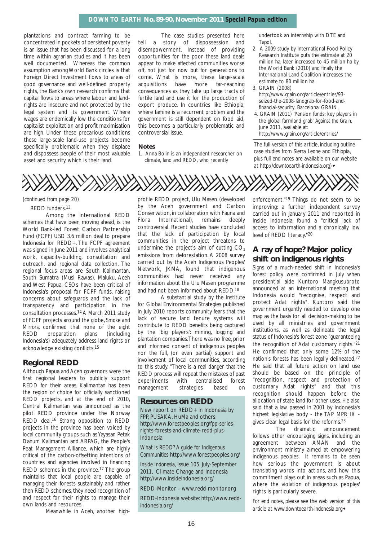#### *DOWN TO EARTH* **No. 89-90, November 2011** *Special Papua edition*

plantations and contract farming to be concentrated in pockets of persistent poverty is an issue that has been discussed for a long time within agrarian studies and it has been well documented. Whereas the common assumption among World Bank circles is that Foreign Direct Investment flows to areas of good governance and well-defined property rights, the Bank's own research confirms that capital flows to areas where labour and landrights are insecure and not protected by the legal system and its government. Where wages are endemically low the conditions for capitalist exploitation and profit maximisation are high. Under these precarious conditions these large-scale land-use projects become specifically problematic when they displace and dispossess people of their most valuable asset and security, which is their land.

The case studies presented here tell a story of dispossession and disempowerment. Instead of providing opportunities for the poor these land deals appear to make affected communities worse off, not just for now but for generations to come. What is more, these large-scale acquisitions have more far-reaching consequences as they take up large tracts of fertile land and use it for the production of export produce. In countries like Ethiopia, where famine is a recurrent problem and the government is still dependent on food aid, this becomes a particularly problematic and controversial issue.

#### **Notes**

1. Anna Bolin is an independent researcher on climate, land and REDD, who recently

undertook an internship with DTE and Tanol

- 2. A 2009 study by International Food Policy Research Institute puts the estimate at 20 million ha, later increased to 45 million ha by the World Bank (2010) and finally the International Land Coalition increases the estimate to 80 million ha.
- 3. GRAIN (2008) http://www.grain.org/article/entries/93 seized-the-2008-landgrab-for-food-andfinancial-security, Barcelona: GRAIN,
- 4. GRAIN (2011) 'Pension funds: key players in the global farmland grab' *Against the Grain*, June 2011, available at: http://www.grain.org/article/entries/

*The full version of this article, including outline case studies from Sierra Leone and Ethiopia, plus full end notes are available on our website at http://downtoearth-indonesia.org)*

#### *(continued from page 20)*

REDD funders.13

Among the international REDD schemes that have been moving ahead, is the World Bank-led Forest Carbon Partnership Fund (FCPF) USD 3.6 million deal to prepare Indonesia for REDD+. The FCPF agreement was signed in June 2011 and involves analytical work, capacity-building, consultation and outreach, and regional data collection. The regional focus areas are South Kalimantan, South Sumatra (Musi Rawas), Maluku, Aceh and West Papua. CSOs have been critical of Indonesia's proposal for FCPF funds, raising concerns about safeguards and the lack of transparency and participation in the consultation processes.14 A March 2011 study of FCPF projects around the globe, *Smoke and Mirrors*, confirmed that none of the eight REDD preparation plans (including Indonesia's) adequately address land rights or acknowledge existing conflicts.15

#### **Regional REDD**

Although Papua and Aceh governors were the first regional leaders to publicly support REDD for their areas, Kalimantan has been the region of choice for officially sanctioned REDD projects, and at the end of 2010, Central Kalimantan was announced as the pilot REDD province under the Norway REDD deal.16 Strong opposition to REDD projects in the province has been voiced by local community groups such as Yayasan Petak Danum Kalimantan and ARPAG, the People's Peat Management Alliance, which are highly critical of the carbon-offsetting intentions of countries and agencies involved in financing REDD schemes in the province.17 The group maintains that local people are capable of managing their forests sustainably and rather then REDD schemes, they need recognition of and respect for their rights to manage their own lands and resources.

Meanwhile in Aceh, another high-

profile REDD project, Ulu Masen (developed by the Aceh government and Carbon Conservation, in collaboration with Fauna and Flora International), remains deeply controversial. Recent studies have concluded that the lack of participation by local communities in the project threatens to undermine the project's aim of cutting  $CO<sub>2</sub>$ emissions from deforestation. A 2008 survey carried out by the Aceh Indigenous Peoples' Network, JKMA, found that indigenous communities had never received any information about the Ulu Masen programme and had not been informed about REDD.18

A substantial study by the Institute for Global Environmental Strategies published in July 2010 reports community fears that the lack of secure land tenure systems will contribute to REDD benefits being captured by the 'big players': mining, logging and plantation companies.There was no free, prior and informed consent of indigenous peoples nor the full, (or even partial) support and involvement of local communities, according to this study. "There is a real danger that the REDD process will repeat the mistakes of past experiments with centralised forest management strategies based on

#### **Resources on REDD**

New report on REDD+ in Indonesia by FPP, PUSAKA, HuMa and others: http://www.forestpeoples.org/fpp-seriesrights-forests-and-climate-redd-plus-Indonesia

*What is REDD? A guide for Indigenous Communities* http://www.forestpeoples.org/

*Inside Indonesia,* Issue 105, July-September 2011, Climate Change and Indonesia http://www.insideindonesia.org/

REDD-Monitor - www.redd-monitor.org

REDD-Indonesia website: http://www.reddindonesia.org/

enforcement."19 Things do not seem to be improving: a further independent survey carried out in January 2011 and reported in Inside Indonesia, found a "critical lack of access to information and a chronically low level of REDD literacy."20

## **A ray of hope? Major policy shift on indigenous rights**

Signs of a much-needed shift in Indonesia's forest policy were confirmed in July when presidential aide Kuntoro Mangkusubroto announced at an international meeting that Indonesia would "recognise, respect and protect Adat rights". Kuntoro said the government urgently needed to develop one map as the basis for all decision-making to be used by all ministries and government institutions, as well as delineate the legal status of Indonesia's forest zone "guaranteeing the recognition of Adat customary rights."21 He confirmed that only some 12% of the nation's forests has been legally delineated,22 He said that all future action on land use should be based on the principle of "recognition, respect and protection of customary Adat rights" and that this recognition should happen before the allocation of state land for other uses. He also said that a law passed in 2001 by Indonesia's highest legislative body - the TAP MPR IX gives clear legal basis for the reforms.<sup>23</sup>

The dramatic announcement follows other encouraging signs, including an agreement between AMAN and the environment ministry aimed at empowering indigenous peoples. It remains to be seen how serious the government is about translating words into actions, and how this commitment plays out in areas such as Papua, where the violation of indigenous peoples' rights is particularly severe.

*For end notes, please see the web version of this article at www.downtoearth-indonesia.org*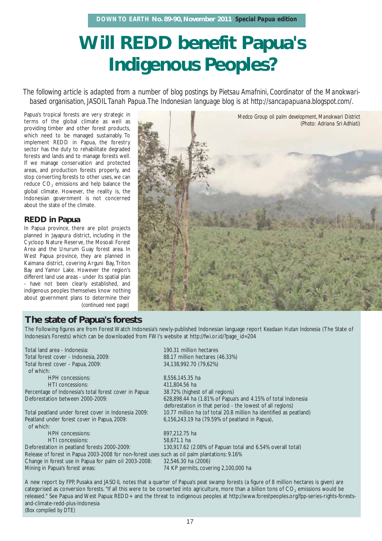## **Will REDD benefit Papua's Indigenous Peoples?**

*The following article is adapted from a number of blog postings by Pietsau Amafnini, Coordinator of the Manokwaribased organisation, JASOIL Tanah Papua.The Indonesian language blog is at http://sancapapuana.blogspot.com/.*

Papua's tropical forests are very strategic in terms of the global climate as well as providing timber and other forest products, which need to be managed sustainably. To implement REDD in Papua, the forestry sector has the duty to rehabilitate degraded forests and lands and to manage forests well. If we manage conservation and protected areas, and production forests properly, and stop converting forests to other uses, we can reduce CO<sub>2</sub> emissions and help balance the global climate. However, the reality is, the Indonesian government is not concerned about the state of the climate.

## **REDD in Papua**

In Papua province, there are pilot projects planned in Jayapura district, including in the Cycloop Nature Reserve, the Mosoali Forest Area and the Unurum Guay forest area. In West Papua province, they are planned in Kaimana district, covering Arguni Bay, Triton Bay and Yamor Lake. However the region's different land use areas - under its spatial plan - have not been clearly established, and indigenous peoples themselves know nothing about government plans to determine their *(continued next page)*



*Harvesting coconuts,Arfu,West Papua (Adriana Sri Adhi*

## **The state of Papua's forests**

The Following figures are from Forest Watch Indonesia's newly-published Indonesian language report *Keadaan Hutan Indonesia* (The State of Indonesia's Forests) which can be downloaded from FWI's website at http://fwi.or.id/?page\_id=204

Total forest cover - Indonesia, 2009: 88.17 million hectares (46.33%) Total forest cover - Papua, 2009: 34,138,992.70 (79,62%) of which: HPH concessions: 8,556,145.35 ha HTI concessions: 411,804.56 ha Percentage of Indonesia's total forest cover in Papua: 38.72% (highest of all regions) Peatland under forest cover in Papua, 2009: 6,156,243.19 ha (79.59% of peatland in Papua), of which: HPH concessions: 897,212.75 ha HTI concessions: 58,671.1 ha Release of forest in Papua 2003-2008 for non-forest uses such as oil palm plantations: 9.16% Change in forest use in Papua for palm oil 2003-2008: 32,546.30 ha (2006)

Total land area - Indonesia: 190.31 million hectares

Deforestation between 2000-2009: 628,898.44 ha (1.81% of Papua's and 4.15% of total Indonesia deforestation in that period - the lowest of all regions) Total peatland under forest cover in Indonesia 2009: 10.77 million ha (of total 20.8 million ha identified as peatland)

Deforestation in peatland forests 2000-2009: 130,917.62 (2.08% of Papuan total and 6.54% overall total) Mining in Papua's forest areas: 74 KP permits, covering 2,100,000 ha

A new report by FPP, Pusaka and JASOIL notes that a quarter of Papua's peat swamp forests (a figure of 8 million hectares is given) are categorised as conversion forests. "If all this were to be converted into agriculture, more than a billion tons of CO<sub>2</sub> emissions would be released." See Papua and West Papua: REDD+ and the threat to indigenous peoples at http://www.forestpeoples.org/fpp-series-rights-forestsand-climate-redd-plus-Indonesia *(Box compiled by DTE)*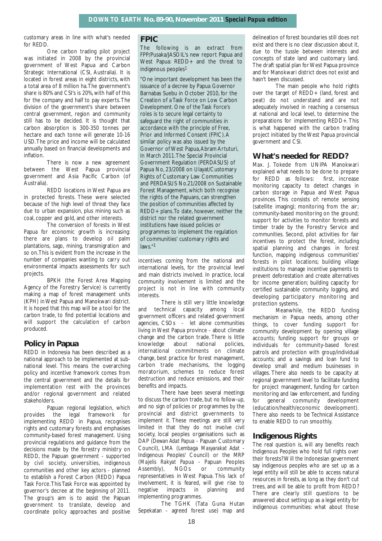customary areas in line with what's needed for REDD.

One carbon trading pilot project was initiated in 2008 by the provincial government of West Papua and Carbon Strategic International (CSI, Australia). It is located in forest areas in eight districts, with a total area of 8 million ha.The government's share is 80% and CSI's is 20%, with half of this for the company and half to pay experts.The division of the government's share between central government, region and community still has to be decided. It is thought that carbon absorption is 300-350 tonnes per hectare and each tonne will generate 10-16 USD.The price and income will be calculated annually based on financial developments and inflation.

There is now a new agreement between the West Papua provincial government and Asia Pacific Carbon (of Australia).

REDD locations in West Papua are in protected forests. These were selected because of the high level of threat they face due to urban expansion, plus mining such as coal, copper and gold, and other interests.

The conversion of forests in West Papua for economic growth is increasing: there are plans to develop oil palm plantations, sago, mining, transmigration and so on.This is evident from the increase in the number of companies wanting to carry out environmental impacts assessments for such projects.

BPKH (the Forest Area Mapping Agency of the Forestry Service) is currently making a map of forest management units (KPH) in West Papua and Manokwari district. It is hoped that this map will be a tool for the carbon trade, to find potential locations and will support the calculation of carbon produced.

## **Policy in Papua**

REDD in Indonesia has been described as a national approach to be implemented at subnational level. This means the overarching policy and incentive framework comes from the central government and the details for implementation rest with the provinces and/or regional government and related stakeholders.

Papuan regional legislation, which provides the legal framework for implementing REDD in Papua, recognises rights and customary forests and emphasises community-based forest management. Using provincial regulations and guidance from the decisions made by the forestry ministry on REDD, the Papuan government - supported by civil society, universities, indigenous communities and other key actors - planned to establish a Forest Carbon (REDD) Papua Task Force.This Task Force was appointed by governor's decree at the beginning of 2011. The group's aim is to assist the Papuan government to translate, develop and coordinate policy approaches and positive

### **FPIC**

The following is an extract from FPP/Pusaka/JASOIL's new report Papua and West Papua: REDD+ and the threat to indigenous peoples<sup>1</sup>

"One important development has been the issuance of a decree by Papua Governor Barnabas Suebu in October 2010, for the Creation of a Task Force on Low Carbon Development. One of the Task Force's roles is to secure legal certainty to safeguard the right of communities in accordance with the principle of Free, Prior and Informed Consent (FPIC).A similar policy was also issued by the Governor of West Papua,Abram Artuturi, In March 2011.The Special Provincial Government Regulation (PERDASUS) of Papua No, 23/2008 on Ulayat/Customary Rights of Customary Law Communities and PERDASUS No.21/2008 on Sustainable Forest Management, which both recognise the rights of the Papuans, can strengthen the position of communities affected by REDD+ plans.To date, however, neither the district nor the related government institutions have issued policies or programmes to implement the regulation of communities' customary rights and laws."1

incentives coming from the national and international levels, for the provincial level and main districts involved. In practice, local community involvement is limited and the project is not in line with community interests.

There is still very little knowledge and technical capacity among local government officers and related government agencies, CSOs - let alone communities living in West Papua province - about climate change and the carbon trade. There is little knowledge about national policies, international commitments on climate change, best practice for forest management, carbon trade mechanisms, the logging moratorium, schemes to reduce forest destruction and reduce emissions, and their benefits and impacts.

There have been several meetings to discuss the carbon trade, but no follow-up, and no sign of policies or programmes by the provincial and district governments to implement it. These meetings are still very limited in that they do not involve civil society, local peoples organisations such as DAP (*Dewan Adat Papua* - Papuan Customary Council), LMA (*Lembaga Masyarakat Adat* - Indigenous Peoples' Council) or the MRP (*Majelis Rakyat Papua* - Papuan Peoples Assembly), NGOs or community representatives in West Papua. This lack of involvement, it is feared, will give rise to negative impacts in planning and implementing programmes.

The TGHK (Tata Guna Hutan Sepekatan - agreed forest use) map and

delineation of forest boundaries still does not exist and there is no clear discussion about it, due to the tussle between interests and concepts of state land and customary land. The draft spatial plan for West Papua province and for Manokwari district does not exist and hasn't been discussed.

The main people who hold rights over the target of REDD+ (land, forest and peat) do not understand and are not adequately involved in reaching a consensus at national and local level, to determine the preparations for implementing REDD+. This is what happened with the carbon trading project initiated by the West Papua provincial government and CSI.

## **What's needed for REDD?**

Max. J. Tokede from UNIPA Manokwari explained what needs to be done to prepare for REDD as follows: first, increase monitoring capacity to detect changes in carbon storage in Papua and West Papua provinces. This consists of: remote sensing (satellite imaging); monitoring from the air; community-based monitoring on the ground; support for activities to monitor forests and timber trade by the Forestry Service and communities. Second, pilot activities for fair incentives to protect the forest, including spatial planning and changes in forest function, mapping indigenous communities' forests in pilot locations; building village institutions to manage incentive payments to prevent deforestation and create alternatives for income generation; building capacity for certified sustainable community logging, and developing participatory monitoring and protection systems.

Meanwhile, the REDD funding mechanism in Papua needs, among other things, to cover funding support for community development by opening village accounts; funding support for groups or individuals for community-based forest patrols and protection with group/individual accounts; and a savings and loan fund to develop small and medium businesses in villages. There also needs to be capacity at regional government level to facilitate funding for project management, funding for carbon monitoring and law enforcement, and funding for general community development (education/health/economic development). There also needs to be Technical Assistance to enable REDD to run smoothly.

### **Indigenous Rights**

The real question is, will any benefits reach Indigenous Peoples who hold full rights over their forests? Will the Indonesian government say indigenous peoples who are set up as a legal entity will still be able to access natural resources in forests, as long as they don't cut trees, and will be able to profit from REDD? There are clearly still questions to be answered about setting up as a legal entity for indigenous communities: what about those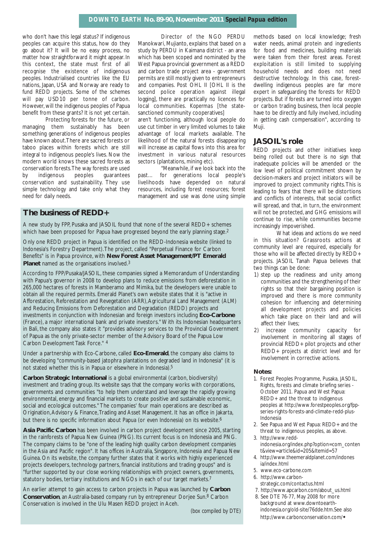who don't have this legal status? If indigenous peoples can acquire this status, how do they go about it? It will be no easy process, no matter how straightforward it might appear. In this context, the state must first of all recognise the existence of indigenous peoples. Industrialised countries like the EU nations, Japan, USA and Norway are ready to fund REDD projects. Some of the schemes will pay USD10 per tonne of carbon. However, will the indigenous peoples of Papua benefit from these grants? It is not yet certain.

Protecting forests for the future, or managing them sustainably has been something generations of indigenous peoples have known about.There are sacred forests or taboo places within forests which are still integral to indigenous people's lives. Now the modern world knows these sacred forests as conservation forests.The way forests are used by indigenous peoples guarantees conservation and sustainability. They use simple technology and take only what they need for daily needs.

Director of the NGO PERDU Manokwari, Mujianto, explains that based on a study by PERDU in Kaimana district - an area which has been scoped and nominated by the West Papua provincial government as a REDD and carbon trade project area - government permits are still mostly given to entrepreneurs and companies. Post OHL II [OHL II is the second police operation against illegal logging], there are practically no licences for local communities. *Kopermas* [the statesanctioned community cooperatives]

aren't functioning, although local people do use cut timber in very limited volumes to take advantage of local markets available. The likelihood of the natural forests disappearing will increase as capital flows into this area for investment in various natural resources sectors (plantations, mining etc).

"Meanwhile, if we look back into the past… for generations local people's livelihoods have depended on natural resources, including forest resources; forest management and use was done using simple

### **The business of REDD+**

A new study by FPP, Pusaka and JASOIL found that none of the several REDD+ schemes which have been proposed for Papua have progressed beyond the early planning stage.<sup>2</sup>

Only one REDD project in Papua is identified on the REDD-Indonesia website (linked to Indonesia's Forestry Department).The project, called "Perpetual Finance for Carbon Benefits" is in Papua province, with **New Forest Asset Management/PT Emerald Planet** named as the organisations involved.3

According to FPP/Pusaka/JASOIL, these companies signed a Memorandum of Understanding with Papua's governor in 2008 to develop plans to reduce emissions from deforestation in 265,000 hectares of forests in Mamberamo and Mimika, but the developers were unable to obtain all the required permits. Emerald Planet's own website states that it is "active in Afforestation, Reforestation and Revegetation (ARR),Agricultural Land Management (ALM) and Reducing Emissions from Deforestation and Degradation (REDD) projects and investments in conjunction with Indonesian and foreign investors including **Eco-Carbone** (France), a major international bank and private investors." With its Indonesian headquarters in Bali, the company also states it "provides advisory services to the Provincial Government of Papua as the only private-sector member of the Advisory Board of the Papua Low Carbon Development Task Force." 4

Under a partnership with Eco-Carbone, called **Eco-Emerald**, the company also claims to be developing "community-based jatophra plantations on degraded land in Indonesia" (it is not stated whether this is in Papua or elsewhere in Indonesia).5

**Carbon Strategic International** is a global environmental (carbon, biodiversity) investment and trading group. Its website says that the company works with corporations, governments and communities "to help them understand and leverage the rapidly growing environmental, energy and financial markets to create positive and sustainable economic, social and ecological outcomes." The companies' four main operations are described as Origination,Advisory & Finance,Trading and Asset Management. It has an office in Jakarta, but there is no specific information about Papua (or even Indonesia) on its website.<sup>6</sup>

**Asia Pacific Carbon** has been involved in carbon project development since 2005, starting in the rainforests of Papua New Guinea (PNG). Its current focus is on Indonesia and PNG. The company claims to be "one of the leading high quality carbon development companies in the Asia and Pacific region". It has offices in Australia, Singapore, Indonesia and Papua New Guinea. On its website, the company further states that it works with highly experienced projects developers, technology partners, financial institutions and trading groups" and is "further supported by our close working relationships with project owners, governments, statutory bodies, tertiary institutions and NGOs in each of our target markets.<sup>7</sup>

An earlier attempt to gain access to carbon projects in Papua was launched by **Carbon Conservation**, an Australia-based company run by entrepreneur Dorjee Sun.8 Carbon Conservation is involved in the Ulu Masen REDD project in Aceh.

*(box compiled by DTE)*

methods based on local knowledge; fresh water needs, animal protein and ingredients for food and medicines, building materials were taken from their forest areas. Forest exploitation is still limited to supplying household needs and does not need destructive technology. In this case, forestdwelling indigenous peoples are far more expert in safeguarding the forests for REDD projects. But if forests are turned into oxygen or carbon trading business, then local people have to be directly and fully involved, including in getting cash compensation", according to Muji.

#### **JASOIL's role**

REDD projects and other initiatives keep being rolled out but there is no sign that inadequate policies will be amended or the low level of political commitment shown by decision-makers and project initiators will be improved to project community rights.This is leading to fears that there will be distortions and conflicts of interests, that social conflict will spread, and that, in turn, the environment will not be protected, and GHG emissions will continue to rise, while communities become increasingly impoverished.

What ideas and actions do we need in this situation? Grassroots actions at community level are required, especially for those who will be affected directly by REDD+ projects. JASOIL Tanah Papua believes that two things can be done:

- 1) step up the readiness and unity among communities and the strengthening of their rights so that their bargaining position is improved and there is more community cohesion for influencing and determining all development projects and policies which take place on their land and will affect their lives;
- 2) increase community capacity for involvement in monitoring all stages of provincial REDD+ pilot projects and other REDD+ projects at district level and for involvement in corrective actions.

#### **Notes:**

- 1. Forest Peoples Programme, Pusaka, JASOIL, Rights, forests and climate briefing series - October 2011. Papua and West Papua: REDD+ and the threat to indigenous peoples at http://www.forestpeoples.org/fppseries-rights-forests-and-climate-redd-plus-Indonesia
- 2. See Papua and West Papua: REDD+ and the threat to indigenous peoples, as above.
- 3. http://www.reddindonesia.org/index.php?option=com\_conten t&view=article&id=205&Itemid=57
- 4. http://www.theemeraldplanet.com/indones ia/index.html
- 5. www.eco-carbone.com
- 6. http://www.carbon-
- strategic.com/contactus.html
- 7. http://www.apcarbon.com/about\_us.html 8. See DTE 76-77, May 2008 for more background at www.downtoearthindonesia.org/old-site/76dde.htm.See also http://www.carbonconservation.com/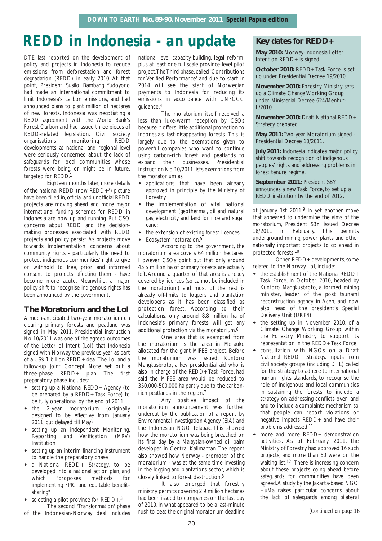## *REDD in Indonesia - an update* **Key dates for REDD+**

DTE last reported on the development of policy and projects in Indonesia to reduce emissions from deforestation and forest degradation (REDD) in early 2010. At that point, President Susilo Bambang Yudoyono had made an international commitment to limit Indonesia's carbon emissions, and had announced plans to plant million of hectares of new forests. Indonesia was negotiating a REDD agreement with the World Bank's Forest Carbon and had issued three pieces of REDD-related legislation. Civil society organisations monitoring REDD developments at national and regional level were seriously concerned about the lack of safeguards for local communities whose forests were being, or might be in future, targeted for REDD.1

Eighteen months later, more details of the national REDD (now REDD+2) picture have been filled in, official and unofficial REDD projects are moving ahead and more major international funding schemes for REDD in Indonesia are now up and running. But CSO concerns about REDD and the decisionmaking processes associated with REDD projects and policy persist. As projects move towards implementation, concerns about community rights - particularly the need to protect indigenous communities' right to give or withhold to free, prior and informed consent to projects affecting them - have become more acute. Meanwhile, a major policy shift to recognise indigenous rights has been announced by the government.

### **The Moratorium and the LoI**

A much-anticipated two-year moratorium on clearing primary forests and peatland was signed in May 2011. Presidential instruction No 10/2011 was one of the agreed outcomes of the Letter of Intent (LoI) that Indonesia signed with Norway the previous year as part of a US\$ 1 billion REDD+ deal.The LoI and a follow-up Joint Concept Note set out a three-phase REDD+ plan. The first preparatory phase includes:

- setting up a National REDD+ Agency (to be prepared by a REDD+ Task Force) to be fully operational by the end of 2011
- the 2-year moratorium (originally designed to be effective from January 2011, but delayed till May)
- setting up an independent Monitoring, Reporting and Verification (MRV) Institution
- setting up an interim financing instrument to handle the preparatory phase
- a National REDD+ Strategy, to be developed into a national action plan, and which "proposes methods for implementing FPIC and equitable benefitsharing"
- selecting a pilot province for REDD+.<sup>3</sup> The second 'Transformation' phase
- of the Indonesian-Norway deal includes

national level capacity-building, legal reform, plus at least one full scale province-level pilot project.The Third phase, called 'Contributions for Verified Performance' and due to start in 2014 will see the start of Norwegian payments to Indonesia for reducing its emissions in accordance with UNFCCC guidance.4

The moratorium itself received a less than luke-warm reception by CSOs because it offers little additional protection to Indonesia's fast-disappearing forests. This is largely due to the exemptions given to powerful companies who want to continue using carbon-rich forest and peatlands to expand their businesses. Presidential Instruction No 10/2011 lists exemptions from the moratorium as

- applications that have been already approved in principle by the Ministry of Forestry,
- the implementation of vital national development (geothermal, oil and natural gas, electricity and land for rice and sugar cane;
- the extension of existing forest licences
- Ecosystem restoration.5

According to the government, the moratorium area covers 64 million hectares. However, CSOs point out that only around 45.5 million ha of primary forests are actually left. Around a quarter of that area is already covered by licences (so cannot be included in the moratorium) and most of the rest is already off-limits to loggers and plantation developers as it has been classified as protection forest. According to their calculations, only around 8.8 million ha of Indonesia's primary forests will get any additional protection via the moratorium.6

One area that is exempted from the moratorium is the area in Merauke allocated for the giant MIFEE project. Before the moratorium was issued, Kuntoro Mangkusbroto, a key presidential aid who is also in charge of the REDD+ Task Force, had said the MIFEE area would be reduced to 350,000-500,000 ha partly due to the carbonrich peatlands in the region.7

Any positive impact of the moratorium announcement was further undercut by the publication of a report by Environmental Investigation Agency (EIA) and the Indonesian NGO Telapak. This showed how the moratorium was being breached on its first day by a Malaysian-owned oil palm developer in Central Kalimantan. The report also showed how Norway - promoter of the moratorium - was at the same time investing in the logging and plantations sector, which is closely linked to forest destruction.8

It also emerged that forestry ministry permits covering 2.9 million hectares had been issued to companies on the last day of 2010, in what appeared to be a last-minute rush to beat the original moratorium deadline

**May 2010:** Norway-Indonesia Letter Intent on REDD+ is signed.

**October 2010:** REDD+ Task Force is set up under Presidential Decree 19/2010.

**November 2010:** Forestry Ministry sets up a Climate Change Working Group under Ministerial Decree 624/Menhut-II/2010.

**November 2010:** Draft National REDD+ Strategy prepared.

**May 2011:** Two-year Moratorium signed - Presidential Decree 10/2011.

**July 2011:** Indonesia indicates major policy shift towards recognition of indigenous peoples' rights and addressing problems in forest tenure regime.

**September 2011:** President SBY announces a new Task Force, to set up a REDD institution by the end of 2012.

of January 1st 2011.<sup>9</sup> In yet another move that appeared to undermine the aims of the moratorium, President SBY issued Decree 18/2011 in February. This permits underground mining, power plants and other nationally important projects to go ahead in protected forests.10

Other REDD+ developments, some related to the Norway LoI, include:

- the establishment of the National REDD+ Task Force, in October 2010, headed by Kuntoro Mangkusbroto, a formed mining minister, leader of the post tsunami reconstruction agency in Aceh, and now also head of the president's Special Delivery Unit (UKP4).
- the setting up in November 2010, of a Climate Change Working Group within the Forestry Ministry to support its representation in the REDD+ Task Force;
- consultation with NGOs on a Draft National REDD+ Strategy. Inputs from civil society groups (including DTE) called for the strategy to adhere to international human rights standards, to recognise the role of indigenous and local communities in sustaining the forests, to include a strategy on addressing conflicts over land and to include a complaints mechanism so that people can report violations or negative impacts REDD+ and have their problems addressed.11
- more and more REDD+ demonstration activities. As of February 2011, the Ministry of Forestry had approved 16 such projects, and more than 60 were on the waiting list.<sup>12</sup> There is increasing concern about these projects going ahead before safeguards for communities have been agreed.A study by the Jakarta-based NGO HuMa raises particular concerns about the lack of safeguards among bilateral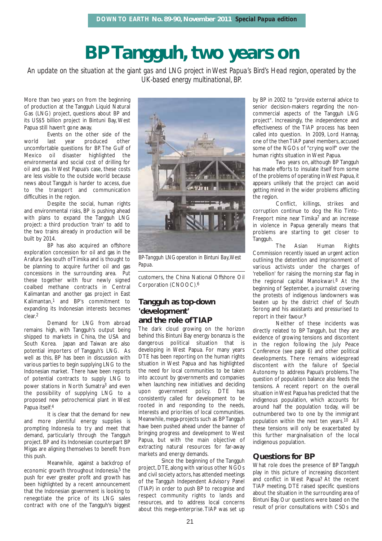## **BP Tangguh, two years on**

*An update on the situation at the giant gas and LNG project in West Papua's Bird's Head region, operated by the UK-based energy multinational, BP.*

More than two years on from the beginning of production at the Tangguh Liquid Natural Gas (LNG) project, questions about BP and its US\$5 billion project in Bintuni Bay, West Papua still haven't gone away.

Events on the other side of the world last year produced other uncomfortable questions for BP. The Gulf of Mexico oil disaster highlighted the environmental and social cost of drilling for oil and gas. In West Papua's case, these costs are less visible to the outside world because news about Tangguh is harder to access, due to the transport and communication difficulties in the region.

Despite the social, human rights and environmental risks, BP is pushing ahead with plans to expand the Tangguh LNG project: a third production 'train' to add to the two trains already in production will be built by 2014.

BP has also acquired an offshore exploration concession for oil and gas in the Arafura Sea south of Timika and is thought to be planning to acquire further oil and gas concessions in the surrounding area. Put these together with four newly signed coalbed methane contracts in Central Kalimantan and another gas project in East Kalimantan,1 and BP's commitment to expanding its Indonesian interests becomes clear.2

Demand for LNG from abroad remains high, with Tangguh's output being shipped to markets in China, the USA and South Korea. Japan and Taiwan are also potential importers of Tangguh's LNG. As well as this, BP has been in discussion with various parties to begin supplying LNG to the Indonesian market. There have been reports of potential contracts to supply LNG to power stations in North Sumatra3 and even the possibility of supplying LNG to a proposed new petrochemical plant in West Papua itself.4

It is clear that the demand for new and more plentiful energy supplies is prompting Indonesia to try and meet that demand, particularly through the Tangguh project. BP and its Indonesian counterpart BP Migas are aligning themselves to benefit from this push.

Meanwhile, against a backdrop of economic growth throughout Indonesia,<sup>5</sup> the push for ever greater profit and growth has been highlighted by a recent announcement that the Indonesian government is looking to renegotiate the price of its LNG sales contract with one of the Tangguh's biggest



*BP-Tangguh LNG operation in Bintuni Bay,West Papua.*

customers, the China National Offshore Oil Corporation (CNOOC).6

## **Tangguh as top-down 'development'**

## **and the role of TIAP**

The dark cloud growing on the horizon behind this Bintuni Bay energy bonanza is the dangerous political situation that is developing in West Papua. For many years DTE has been reporting on the human rights situation in West Papua and has highlighted the need for local communities to be taken into account by governments and companies when launching new initiatives and deciding upon government policy. DTE has consistently called for development to be rooted in and responding to the needs, interests and priorities of local communities. Meanwhile, mega-projects such as BP Tangguh have been pushed ahead under the banner of bringing progress and development to West Papua, but with the main objective of extracting natural resources for far-away markets and energy demands.

Since the beginning of the Tangguh project, DTE, along with various other NGOs and civil society actors, has attended meetings of the Tangguh Independent Advisory Panel (TIAP) in order to push BP to recognise and respect community rights to lands and resources, and to address local concerns about this mega-enterprise. TIAP was set up

by BP in 2002 to "provide external advice to senior decision-makers regarding the noncommercial aspects of the Tangguh LNG project". Increasingly, the independence and effectiveness of the TIAP process has been called into question. In 2009, Lord Hannay, one of the then TIAP panel members, accused some of the NGOs of "crying wolf" over the human rights situation in West Papua.

Two years on, although BP Tangguh has made efforts to insulate itself from some of the problems of operating in West Papua, it appears unlikely that the project can avoid getting mired in the wider problems afflicting the region.

Conflict, killings, strikes and corruption continue to dog the Rio Tinto-Freeport mine near Timika<sup>7</sup> and an increase in violence in Papua generally means that problems are starting to get closer to Tangguh.

The Asian Human Rights Commission recently issued an urgent action outlining the detention and imprisonment of various activists under the charges of 'rebellion' for raising the morning star flag in the regional capital Manokwari.8 At the beginning of September, a journalist covering the protests of indigenous landowners was beaten up by the district chief of South Sorong and his assistants and pressurised to report in their favour.9

Neither of these incidents was directly related to BP Tangguh, but they are evidence of growing tensions and discontent in the region following the July Peace Conference (see page 6) and other political developments. There remains widespread discontent with the failure of Special Autonomy to address Papua's problems. The question of population balance also feeds the tensions. A recent report on the overall situation in West Papua has predicted that the indigenous population, which accounts for around half the population today, will be outnumbered two to one by the immigrant population within the next ten years.10 All these tensions will only be exacerbated by this further marginalisation of the local indigenous population.

## **Questions for BP**

What role does the presence of BP Tangguh play in this picture of increasing discontent and conflict in West Papua? At the recent TIAP meeting, DTE raised specific questions about the situation in the surrounding area of Bintuni Bay. Our questions were based on the result of prior consultations with CSOs and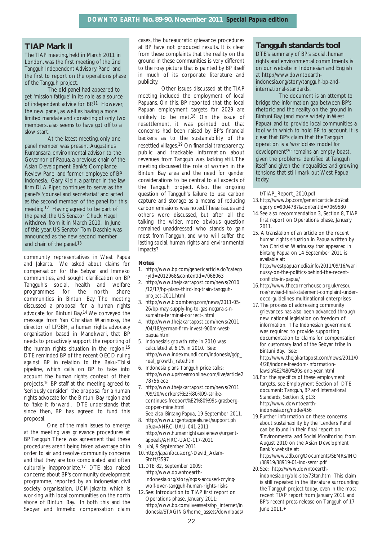## **TIAP Mark II**

The TIAP meeting, held in March 2011 in London, was the first meeting of the 2nd Tangguh Independent Advisory Panel and the first to report on the operations phase of the Tangguh project.

The old panel had appeared to get 'mission fatigue' in its role as a source of independent advice for BP.11 However, the new panel, as well as having a more limited mandate and consisting of only two members, also seems to have got off to a slow start.

At the latest meeting, only one panel member was present;Augustinus Rumansara, environmental advisor to the Governor of Papua, a previous chair of the Asian Development Bank's Compliance Review Panel and former employee of BP Indonesia. Gary Klein, a partner in the law firm DLA Piper, continues to serve as the panel's 'counsel and secretariat' and acted as the second member of the panel for this meeting.12 Having agreed to be part of the panel, the US Senator Chuck Hagel withdrew from it in March 2010. In June of this year, US Senator Tom Daschle was announced as the new second member and chair of the panel.<sup>13</sup>

community representatives in West Papua and Jakarta. We asked about claims for compensation for the Sebyar and Immeko communities, and sought clarification on BP Tangguh's social, health and welfare programmes for the north shore communities in Bintuni Bay. The meeting discussed a proposal for a human rights advocate for Bintuni Bay.14 We conveyed the message from Yan Christian Warinussy, the director of LP3BH, a human rights advocacy organisation based in Manokwari, that BP needs to proactively support the reporting of the human rights situation in the region.15 DTE reminded BP of the recent OECD ruling against BP in relation to the Baku-Tblisi pipeline, which calls on BP to take into account the human rights context of their projects.16 BP staff at the meeting agreed to 'seriously consider' the proposal for a human rights advocate for the Bintuni Bay region and to 'take it forward'. DTE understands that since then, BP has agreed to fund this proposal.

One of the main issues to emerge at the meeting was grievance procedures at BP Tangguh. There was agreement that these procedures aren't being taken advantage of in order to air and resolve community concerns and that they are too complicated and often culturally inappropriate.17 DTE also raised concerns about BP's community development programme, reported by an Indonesian civil society organisation, UCM-Jakarta, which is working with local communities on the north shore of Bintuni Bay. In both this and the Sebyar and Immeko compensation claim

cases, the bureaucratic grievance procedures at BP have not produced results. It is clear from these complaints that the reality on the ground in these communities is very different to the rosy picture that is painted by BP itself in much of its corporate literature and publicity.

Other issues discussed at the TIAP meeting included the employment of local Papuans. On this, BP reported that the local Papuan employment targets for 2029 are unlikely to be met.<sup>18</sup> On the issue of resettlement, it was pointed out that concerns had been raised by BP's financial backers as to the sustainability of the resettled villages.19 On financial transparency, public and trackable information about revenues from Tangguh was lacking still. The meeting discussed the role of women in the Bintuni Bay area and the need for gender considerations to be central to all aspects of the Tangguh project. Also, the ongoing question of Tangguh's failure to use carbon capture and storage as a means of reducing carbon emissions was noted.These issues and others were discussed, but after all the talking, the wider, more obvious question remained unaddressed: who stands to gain most from Tangguh, and who will suffer the lasting social, human rights and environmental impacts?

#### **Notes**

- 1. http://www.bp.com/genericarticle.do?catego ryId=2012968&contentId=7068063
- 2. http://www.thejakartapost.com/news/2010 /12/17/bp-plans-third-lng-train-tangguhproject-2011.html
- 3. http://www.bloomberg.com/news/2011-05- 26/bp-may-supply-lng-to-gas-negara-s-nsumatra-terminal-correct-.html
- 4. http://www.thejakartapost.com/news/2011 /04/18/german-firm-invest-900m-westpapua.html
- 5. Indonesia's growth rate in 2010 was calculated at 6.1% in 2010. See: http://www.indexmundi.com/indonesia/gdp\_ real\_growth\_rate.html
- 6. Indonesia plans Tangguh price talks: http://www.upstreamonline.com/live/article2 78756.ece
- 7. http://www.thejakartapost.com/news/2011 /09/20/workers%E2%80%99-strikecontinues-freeport%E2%80%99s-grasbergcopper-mine.html
- See also *Bintang Papua*, 19 September 2011. 8. http://www.urgentappeals.net/support.ph p?ua=AHRC-UAU-041-2011 http://www.humanrights.asia/news/urgent-
- appeals/AHRC-UAC-117-2011 9. *Jubi*, 9 September 2011
- 10.http://japanfocus.org/-David\_Adam-Stott/3597
- 11.*DTE* 82, September 2009: http://www.downtoearthindonesia.org/story/ngos-accused-cryingwolf-over-tangguh-human-rights-risks
- 12.See: Introduction to TIAP first report on Operations phase, January 2011: http://www.bp.com/liveassets/bp\_internet/in donesia/STAGING/home\_assets/downloads/

## **Tangguh standards tool**

DTE's summary of BP's social, human rights and environmental commitments is on our website in Indonesian and English at http://www.downtoearthindonesia.org/story/tangguh-bp-andinternational-standards.

The document is an attempt to bridge the information gap between BP's rhetoric and the reality on the ground in Bintuni Bay (and more widely in West Papua), and to provide local communities a tool with which to hold BP to account. It is clear that BP's claim that the Tangguh operation is a 'worldclass model for development'20 remains an empty boast, given the problems identified at Tangguh itself and given the inequalities and growing tensions that still mark out West Papua today.

t/TIAP\_Report\_2010.pdf

- 13.http://www.bp.com/genericarticle.do?cat egoryId=9004787&contentId=7069580
- 14.See also recommendation 3, Section 8, TIAP first report on Operations phase, January 2011.
- 15. A translation of an article on the recent human rights situation in Papua written by Yan Christian Warinussy that appeared in *Bintang Papua* on 14 September 2011 is available at:

http://westpapuamedia.info/2011/09/16/wari nussy-on-the-politics-behind-the-recentconflicts-in-papua/

- 16.http://www.thecornerhouse.org.uk/resou rce/revised-final-statement-complaint-underoecd-guidelines-multinational-enterprises
- 17.The process of addressing community grievances has also been advanced through new national legislation on freedom of information. The Indonesian government was required to provide supporting documentation to claims for compensation for customary land of the Sebyar tribe in Bintuni Bay. See: http://www.thejakartapost.com/news/2011/0

4/28/indone-freedom-informationlawsia%E2%80%99s-one-year.html

- 18.For the specifics of these employment targets, see Employment Section of DTE document: *Tangguh, BP and International Standards*, Section 3, p13: http://www.downtoearthindonesia.org/node/456
- 19.Further information on these concerns about sustainability by the 'Lenders Panel' can be found in their final report on 'Environmental and Social Monitoring' from August 2010 on the Asian Development Bank's website at: http://www.adb.org/Documents/SEMRs/INO
- /38919/38919-01-ino-semr.pdf 20.See: http://www.downtoearthindonesia.org/old-site/73tan.htm This claim is still repeated in the literature surrounding the Tangguh project today, even in the most recent TIAP report from January 2011 and BP's recent press release on Tangguh of 17 June 2011.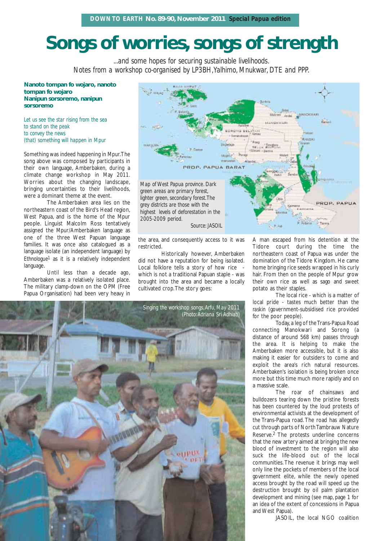## **Songs of worries, songs of strength**

*...and some hopes for securing sustainable livelihoods. Notes from a workshop co-organised by LP3BH,Yalhimo, Mnukwar, DTE and PPP.*

**Nanoto tompan fo wojaro, nanoto tompan fo wojaro Nanipun sorsoremo, nanipun sorsoremo**

*Let us see the star rising from the sea to stand on the peak to convey the news (that) something will happen in Mpur*

Something was indeed happening in Mpur.The song above was composed by participants in their own language, Amberbaken, during a climate change workshop in May 2011. Worries about the changing landscape, bringing uncertainties to their livelihoods, were a dominant theme at the event.

The Amberbaken area lies on the northeastern coast of the Bird's Head region, West Papua, and is the home of the Mpur people. Linguist Malcolm Ross tentatively assigned the Mpur/Amberbaken language as one of the three West Papuan language families. It was once also catalogued as a language isolate (an independent language) by *Ethnologue1* as it is a relatively independent language.

Until less than a decade ago, Amberbaken was a relatively isolated place. The military clamp-down on the OPM (Free Papua Organisation) had been very heavy in



the area, and consequently access to it was restricted.

Historically however, Amberbaken did not have a reputation for being isolated. Local folklore tells a story of how rice which is not a traditional Papuan staple - was brought into the area and became a locally cultivated crop.The story goes:



A man escaped from his detention at the Tidore court during the time the northeastern coast of Papua was under the domination of the Tidore Kingdom. He came home bringing rice seeds wrapped in his curly hair. From then on the people of Mpur grow their own rice as well as sago and sweet potato as their staples.

The local rice - which is a matter of local pride - tastes much better than the *raskin* (government-subsidised rice provided for the poor people).

Today, a leg of the Trans-Papua Road connecting Manokwari and Sorong (a distance of around 568 km) passes through the area. It is helping to make the Amberbaken more accessible, but it is also making it easier for outsiders to come and exploit the area's rich natural resources. Amberbaken's isolation is being broken once more but this time much more rapidly and on a massive scale.

The roar of chainsaws and bulldozers tearing down the pristine forests has been countered by the loud protests of environmental activists at the development of the Trans-Papua road. The road has allegedly cut through parts of North Tambrauw Nature Reserve.2 The protests underline concerns that the new artery aimed at bringing the new blood of investment to the region will also suck the life-blood out of the local communities. The revenue it brings may well only line the pockets of members of the local government elite, while the newly opened access brought by the road will speed up the destruction brought by oil palm plantation development and mining (see map, page 1 for an idea of the extent of concessions in Papua and West Papua).

JASOIL, the local NGO coalition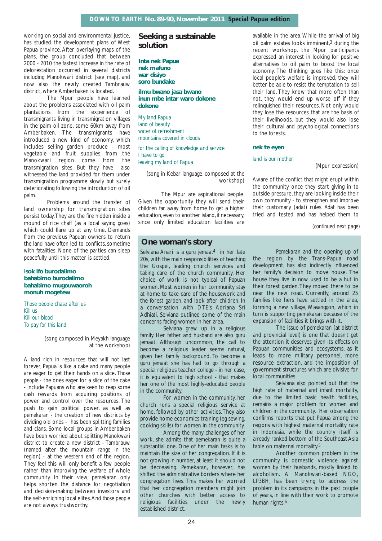working on social and environmental justice. has studied the development plans of West Papua province. After overlaying maps of the plans, the group concluded that between 2000 - 2010 the fastest increase in the rate of deforestation occurred in several districts including Manokwari district (see map), and now also the newly created Tambrauw district, where Amberbaken is located.

The Mpur people have learned about the problems associated with oil palm plantations from the experience of transmigrants living in transmigration villages in the palm oil zone, some 60km away from Amberbaken. The transmigrants have introduced a new kind of economy, which includes selling garden produce - most vegetable and fruit supplies from the Manokwari region come from the transmigration sites. But they have also witnessed the land provided for them under transmigration programme slowly but surely deteriorating following the introduction of oil palm.

Problems around the transfer of land ownership for transmigration sites persist today.They are the fire hidden inside a mound of rice chaff (as a local saying goes) which could flare up at any time. Demands from the previous Papuan owners to return the land have often led to conflicts, sometime with fatalities. None of the parties can sleep peacefully until this matter is settled.

#### I**sok ifo burodaiimo bahabimo burodaiimo bahabimo mugouwaoroh monuh mogetew**

*Those people chase after us Kill us Kill our blood To pay for this land*

> (song composed in Meyakh language at the workshop)

A land rich in resources that will not last forever, Papua is like a cake and many people are eager to get their hands on a slice. *Those people* - the ones eager for a slice of the cake - include Papuans who are keen to reap some cash rewards from acquiring positions of power and control over the resources. The push to gain political power, as well as *pemekaran* - the creation of new districts by dividing old ones - has been splitting families and clans. Some local groups in Amberbaken have been worried about splitting Manokwari district to create a new district - Tambrauw (named after the mountain range in the region) - at the western end of the region. They feel this will only benefit a few people rather than improving the welfare of whole community. In their view, *pemekaran* only helps shorten the distance for negotiation and decision-making between investors and the self-enriching local elites.And *those people* are not always trustworthy.

## **Seeking a sustainable solution**

**Inta nek Papua nek mafuno war disiyo soro bundake**

**ilmu bwano jasa bwano inun mbe intar waro dokone dokone**

*My land Papua land of beauty water of refreshment mountains covered in clouds*

*for the calling of knowledge and service I have to go leaving my land of Papua*

(song in Kebar language, composed at the workshop)

The Mpur are aspirational people. Given the opportunity they will send their children far away from home to get a higher education, even to another island, if necessary, since only limited education facilities are

## **One woman's story**

Selviana Anari is a *guru jemaat*4 in her late 20s, with the main responsibilities of teaching the Gospel, leading church services and taking care of the church community. Her choice of work is not typical of Papuan women. Most women in her community stay at home to take care of the housework and the forest garden, and look after children. In a conversation with DTE's Adriana Sri Adhiati, Selviana outlined some of the main concerns facing women in her area.

Selviana grew up in a religious family. Her father and husband are also *guru jemaat.* Although uncommon, the call to become a religious leader seems natural, given her family background. To become a *guru jemaat* she has had to go through a special religious teacher college - in her case, it is equivalent to high school - that makes her one of the most highly-educated people in the community.

For women in the community, her church runs a special religious service at home, followed by other activities.They also provide home economics training (eg sewing, cooking skills) for women in the community.

Among the many challenges of her work, she admits that *pemekaran* is quite a substantial one. One of her main tasks is to maintain the size of her congregation. If it is not growing in number, at least it should not be decreasing. *Pemekaran*, however, has shifted the administrative borders where her congregation lives. This makes her worried that her congregation members might join other churches with better access to religious facilities under the newly established district.

available in the area. While the arrival of big oil palm estates looks imminent,3 during the recent workshop, the Mpur participants expressed an interest in looking for positive alternatives to oil palm to boost the local economy. The thinking goes like this: once local people's welfare is improved, they will better be able to resist the temptation to sell their land. They know that more often than not, they would end up worse off if they relinquished their resources. Not only would they lose the resources that are the basis of their livelihoods, but they would also lose their cultural and psychological connections to the forests.

#### **nek te eyen**

#### *land is our mother*

(Mpur expression)

Aware of the conflict that might erupt within the community once they start giving in to outside pressure, they are looking inside their own community - to strengthen and improve their customary (*adat*) rules. *Adat* has been tried and tested and has helped them to

*(continued next page)*

*Pemekaran* and the opening up of the region by the Trans-Papua road development, has also indirectly influenced her family's decision to move house. The house they live in now used to be a hut in their forest garden.They moved there to be near the new road. Currently, around 25 families like hers have settled in the area, forming a new village, Wasanggon, which in turn is supporting *pemekaran* because of the expansion of facilities it brings with it.

The issue of *pemekaran* (at district and provincial level) is one that doesn't get the attention it deserves given its effects on Papuan communities and ecosystems, as it leads to more military personnel, more resource extraction, and the imposition of government structures which are divisive for local communities.

Selviana also pointed out that the high rate of maternal and infant mortality, due to the limited basic health facilities, remains a major problem for women and children in the community. Her observation confirms reports that put Papua among the regions with highest maternal mortality rate in Indonesia, while the country itself is already ranked bottom of the Southeast Asia table on maternal mortality.<sup>5</sup>

Another common problem in the community is domestic violence against women by their husbands, mostly linked to alcoholism. A Manokwari-based NGO, LP3BH, has been trying to address the problem in its campaigns in the past couple of years, in line with their work to promote human rights.6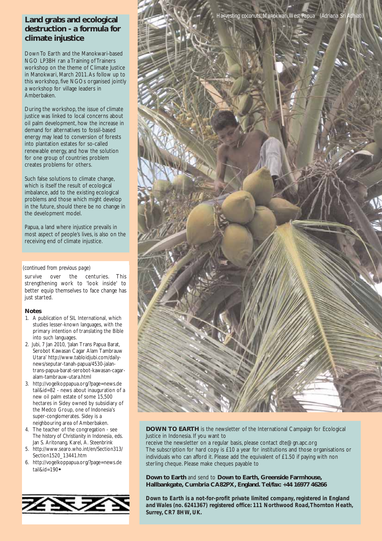## **Land grabs and ecological destruction - a formula for climate injustice**

Down To Earth and the Manokwari-based NGO LP3BH ran a Training of Trainers workshop on the theme of Climate Justice in Manokwari, March 2011.As follow up to this workshop, five NGOs organised jointly a workshop for village leaders in Amberbaken.

During the workshop, the issue of climate justice was linked to local concerns about oil palm development, how the increase in demand for alternatives to fossil-based energy may lead to conversion of forests into plantation estates for so-called renewable energy, and how the solution for one group of countries problem creates problems for others.

Such false solutions to climate change, which is itself the result of ecological imbalance, add to the existing ecological problems and those which might develop in the future, should there be no change in the development model.

Papua, a land where injustice prevails in most aspect of people's lives, is also on the receiving end of climate injustice.

#### *(continued from previous page)*

survive over the centuries. This strengthening work to 'look inside' to better equip themselves to face change has just started.

#### **Notes**

- 1. A publication of SIL International, which studies lesser-known languages, with the primary intention of translating the Bible into such languages.
- 2. *Jubi*, 7 Jan 2010, 'Jalan Trans Papua Barat, Serobot Kawasan Cagar Alam Tambrauw Utara' http://www.tabloidjubi.com/dailynews/seputar-tanah-papua/4530-jalantrans-papua-barat-serobot-kawasan-cagaralam-tambrauw-utara.html
- 3. http://vogelkoppapua.org/?page=news.de tail&id=82 - news about inauguration of a new oil palm estate of some 15,500 hectares in Sidey owned by subsidiary of the Medco Group, one of Indonesia's super-conglomerates. Sidey is a neighbouring area of Amberbaken.
- 4. The teacher of the congregation see *The history of Christianity in Indonesia*, eds. Jan S. Aritonang, Karel, A. Steenbrink
- 5. http://www.searo.who.int/en/Section313/ Section1520\_13441.htm
- 6. http://vogelkoppapua.org/?page=news.de tail&id=190





**DOWN TO EARTH** is the newsletter of the International Campaign for Ecological Justice in Indonesia. If you want to

receive the newsletter on a regular basis, please contact dte@gn.apc.org The subscription for hard copy is £10 a year for institutions and those organisations or individuals who can afford it. Please add the equivalent of £1.50 if paying with non sterling cheque. Please make cheques payable to

**Down to Earth** and send to **Down to Earth, Greenside Farmhouse, Hallbankgate, Cumbria CA82PX, England. Tel/fax: +44 16977 46266**

*Down to Earth is a not-for-profit private limited company, registered in England and Wales (no. 6241367) registered office: 111 Northwood Road,Thornton Heath, Surrey, CR7 8HW, UK.*